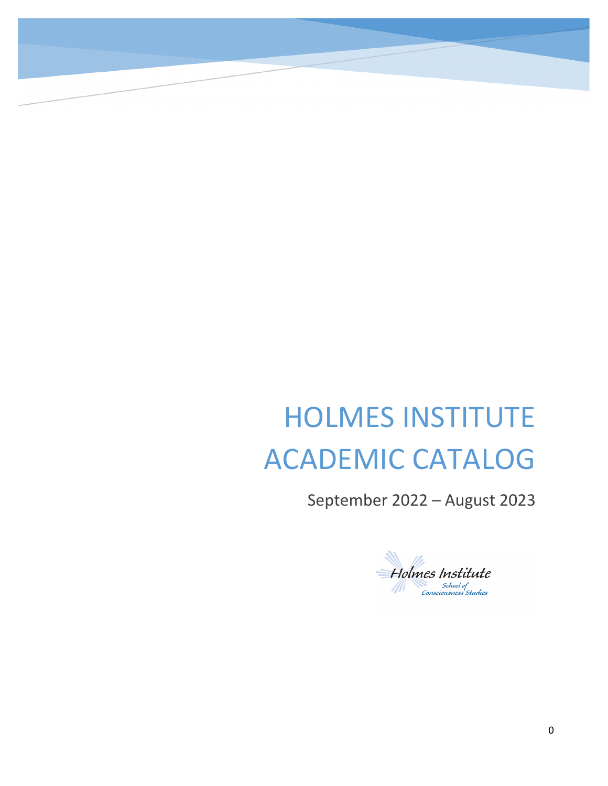# HOLMES INSTITUTE ACADEMIC CATALOG

September 2022 – August 2023

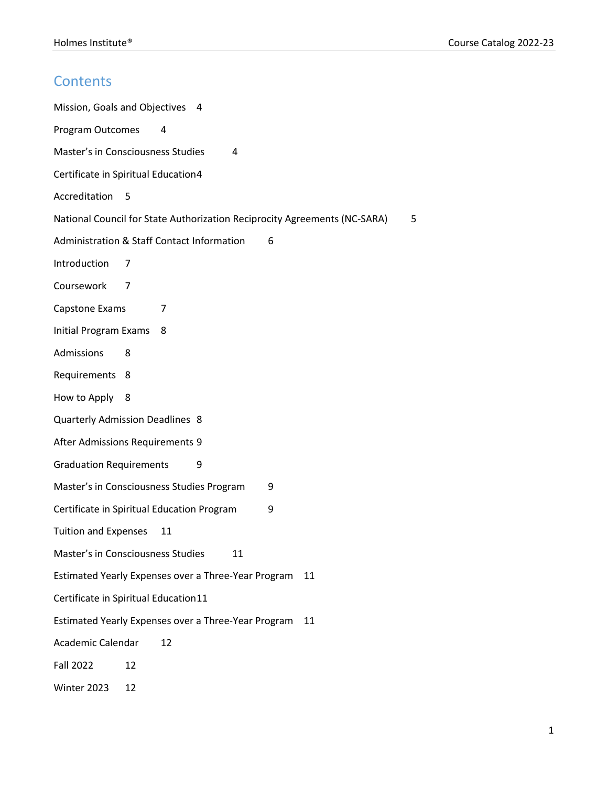## **Contents**

| Mission, Goals and Objectives<br>4                                             |
|--------------------------------------------------------------------------------|
| Program Outcomes<br>4                                                          |
| Master's in Consciousness Studies<br>4                                         |
| Certificate in Spiritual Education4                                            |
| Accreditation<br>-5                                                            |
| National Council for State Authorization Reciprocity Agreements (NC-SARA)<br>5 |
| Administration & Staff Contact Information<br>6                                |
| Introduction<br>7                                                              |
| Coursework<br>7                                                                |
| Capstone Exams<br>7                                                            |
| <b>Initial Program Exams</b><br>8                                              |
| Admissions<br>8                                                                |
| Requirements<br>8                                                              |
| How to Apply<br>8                                                              |
| Quarterly Admission Deadlines 8                                                |
| After Admissions Requirements 9                                                |
| <b>Graduation Requirements</b><br>9                                            |
| Master's in Consciousness Studies Program<br>9                                 |
| Certificate in Spiritual Education Program<br>9                                |
| <b>Tuition and Expenses</b><br>11                                              |
| Master's in Consciousness Studies<br>11                                        |
| Estimated Yearly Expenses over a Three-Year Program<br>11                      |
| Certificate in Spiritual Education11                                           |
| Estimated Yearly Expenses over a Three-Year Program<br>11                      |
| Academic Calendar<br>12                                                        |
| <b>Fall 2022</b><br>12                                                         |
| Winter 2023<br>12                                                              |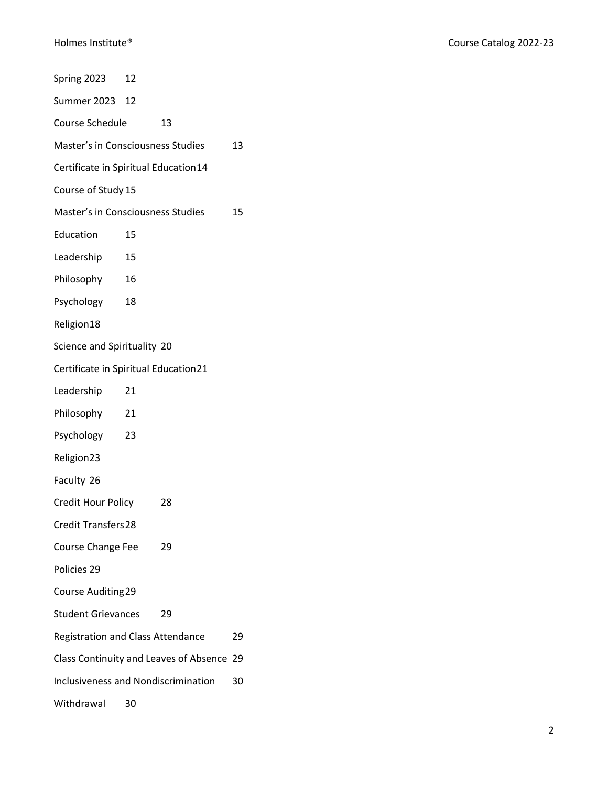| Spring 2023                                | 12 |                                           |    |
|--------------------------------------------|----|-------------------------------------------|----|
| Summer 2023 12                             |    |                                           |    |
| Course Schedule                            |    | 13                                        |    |
| Master's in Consciousness Studies          |    |                                           | 13 |
| Certificate in Spiritual Education14       |    |                                           |    |
| Course of Study 15                         |    |                                           |    |
| Master's in Consciousness Studies          |    |                                           | 15 |
| Education                                  | 15 |                                           |    |
| Leadership                                 | 15 |                                           |    |
| Philosophy                                 | 16 |                                           |    |
| Psychology                                 | 18 |                                           |    |
| Religion18                                 |    |                                           |    |
| Science and Spirituality 20                |    |                                           |    |
| Certificate in Spiritual Education21       |    |                                           |    |
| Leadership                                 | 21 |                                           |    |
| Philosophy                                 | 21 |                                           |    |
| Psychology                                 | 23 |                                           |    |
| Religion23                                 |    |                                           |    |
| Faculty 26                                 |    |                                           |    |
| Credit Hour Policy                         |    | 28                                        |    |
| <b>Credit Transfers 28</b>                 |    |                                           |    |
| <b>Course Change Fee</b>                   |    | 29                                        |    |
| Policies 29                                |    |                                           |    |
| <b>Course Auditing 29</b>                  |    |                                           |    |
| <b>Student Grievances</b>                  |    | 29                                        |    |
| <b>Registration and Class Attendance</b>   | 29 |                                           |    |
|                                            |    | Class Continuity and Leaves of Absence 29 |    |
| <b>Inclusiveness and Nondiscrimination</b> |    |                                           | 30 |
| Withdrawal                                 | 30 |                                           |    |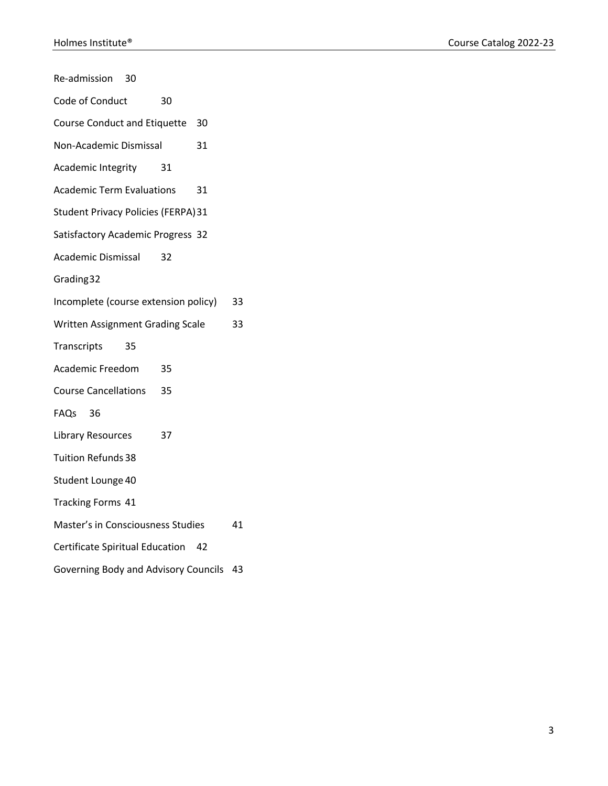| Re-admission                               | 30 |    |    |    |
|--------------------------------------------|----|----|----|----|
| Code of Conduct                            |    | 30 |    |    |
| Course Conduct and Etiquette 30            |    |    |    |    |
| Non-Academic Dismissal                     |    |    | 31 |    |
| <b>Academic Integrity</b>                  |    | 31 |    |    |
| <b>Academic Term Evaluations</b>           |    |    | 31 |    |
| <b>Student Privacy Policies (FERPA) 31</b> |    |    |    |    |
| Satisfactory Academic Progress 32          |    |    |    |    |
| Academic Dismissal                         |    | 32 |    |    |
| Grading 32                                 |    |    |    |    |
| Incomplete (course extension policy)       |    |    |    | 33 |
| Written Assignment Grading Scale           |    |    |    | 33 |
| Transcripts                                | 35 |    |    |    |
| Academic Freedom                           |    | 35 |    |    |
| <b>Course Cancellations</b> 35             |    |    |    |    |
| FAQs 36                                    |    |    |    |    |
| Library Resources                          |    | 37 |    |    |
| <b>Tuition Refunds 38</b>                  |    |    |    |    |
| Student Lounge 40                          |    |    |    |    |
| Tracking Forms 41                          |    |    |    |    |
| Master's in Consciousness Studies          |    |    |    | 41 |
| Certificate Spiritual Education 42         |    |    |    |    |
| Governing Body and Advisory Councils 43    |    |    |    |    |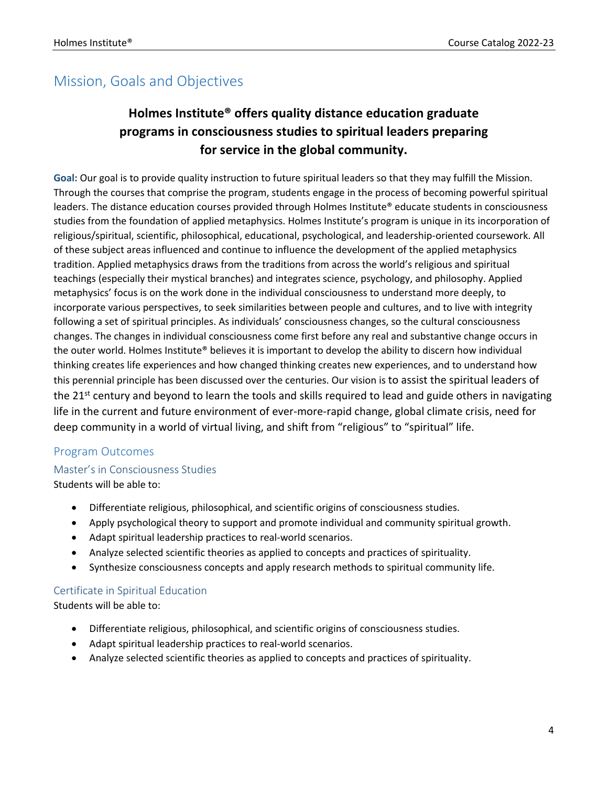## Mission, Goals and Objectives

## **Holmes Institute® offers quality distance education graduate programs in consciousness studies to spiritual leaders preparing for service in the global community.**

**Goal:** Our goal is to provide quality instruction to future spiritual leaders so that they may fulfill the Mission. Through the courses that comprise the program, students engage in the process of becoming powerful spiritual leaders. The distance education courses provided through Holmes Institute® educate students in consciousness studies from the foundation of applied metaphysics. Holmes Institute's program is unique in its incorporation of religious/spiritual, scientific, philosophical, educational, psychological, and leadership-oriented coursework. All of these subject areas influenced and continue to influence the development of the applied metaphysics tradition. Applied metaphysics draws from the traditions from across the world's religious and spiritual teachings (especially their mystical branches) and integrates science, psychology, and philosophy. Applied metaphysics' focus is on the work done in the individual consciousness to understand more deeply, to incorporate various perspectives, to seek similarities between people and cultures, and to live with integrity following a set of spiritual principles. As individuals' consciousness changes, so the cultural consciousness changes. The changes in individual consciousness come first before any real and substantive change occurs in the outer world. Holmes Institute® believes it is important to develop the ability to discern how individual thinking creates life experiences and how changed thinking creates new experiences, and to understand how this perennial principle has been discussed over the centuries. Our vision is to assist the spiritual leaders of the 21<sup>st</sup> century and beyond to learn the tools and skills required to lead and guide others in navigating life in the current and future environment of ever-more-rapid change, global climate crisis, need for deep community in a world of virtual living, and shift from "religious" to "spiritual" life.

#### Program Outcomes

#### Master's in Consciousness Studies

Students will be able to:

- Differentiate religious, philosophical, and scientific origins of consciousness studies.
- Apply psychological theory to support and promote individual and community spiritual growth.
- Adapt spiritual leadership practices to real-world scenarios.
- Analyze selected scientific theories as applied to concepts and practices of spirituality.
- Synthesize consciousness concepts and apply research methods to spiritual community life.

#### Certificate in Spiritual Education

Students will be able to:

- Differentiate religious, philosophical, and scientific origins of consciousness studies.
- Adapt spiritual leadership practices to real-world scenarios.
- Analyze selected scientific theories as applied to concepts and practices of spirituality.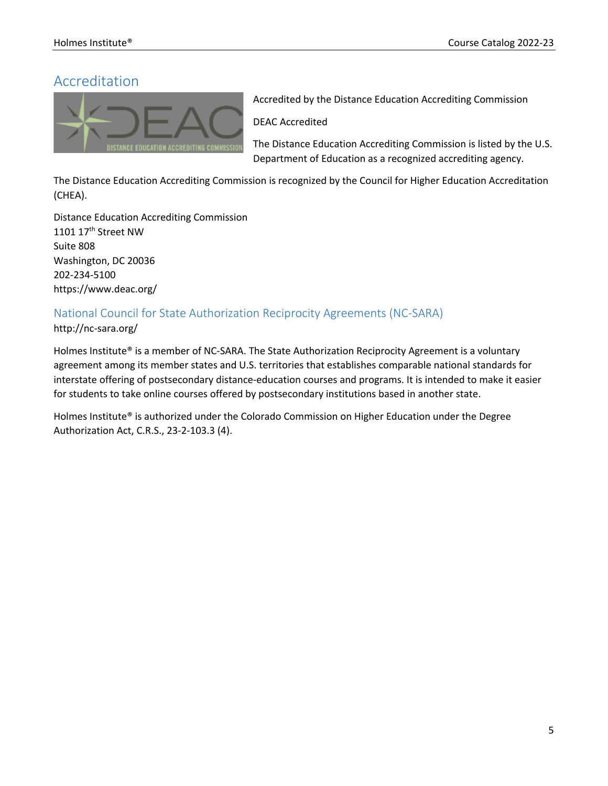## Accreditation



Accredited by the Distance Education Accrediting Commission

DEAC Accredited

The Distance Education Accrediting Commission is listed by the U.S. Department of Education as a recognized accrediting agency.

The Distance Education Accrediting Commission is recognized by the Council for Higher Education Accreditation (CHEA).

Distance Education Accrediting Commission 1101 17<sup>th</sup> Street NW Suite 808 Washington, DC 20036 202-234-5100 https://www.deac.org/

### National Council for State Authorization Reciprocity Agreements (NC-SARA)

#### http://nc-sara.org/

Holmes Institute® is a member of NC-SARA. The State Authorization Reciprocity Agreement is a voluntary agreement among its member states and U.S. territories that establishes comparable national standards for interstate offering of postsecondary distance-education courses and programs. It is intended to make it easier for students to take online courses offered by postsecondary institutions based in another state.

Holmes Institute® is authorized under the Colorado Commission on Higher Education under the Degree Authorization Act, C.R.S., 23-2-103.3 (4).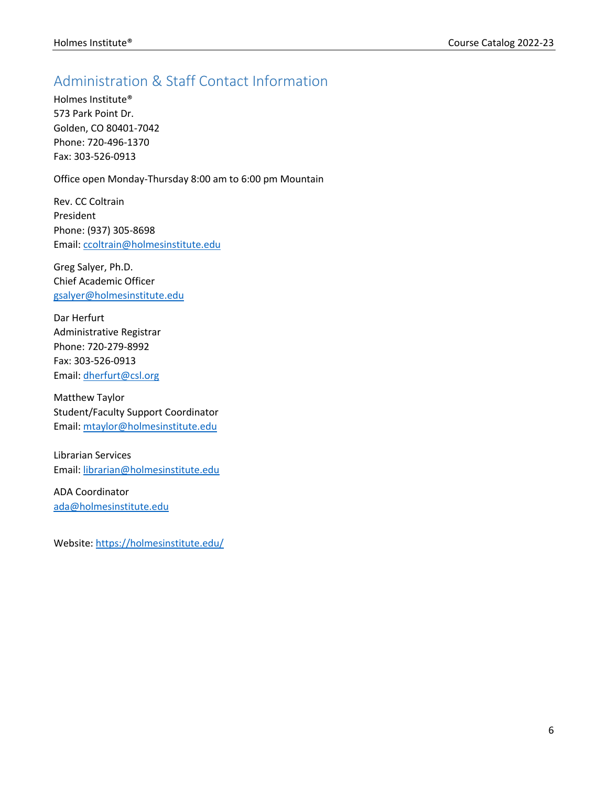## Administration & Staff Contact Information

Holmes Institute® 573 Park Point Dr. Golden, CO 80401-7042 Phone: 720-496-1370 Fax: 303-526-0913

Office open Monday-Thursday 8:00 am to 6:00 pm Mountain

Rev. CC Coltrain President Phone: (937) 305-8698 Email: ccoltrain@holmesinstitute.edu

Greg Salyer, Ph.D. Chief Academic Officer gsalyer@holmesinstitute.edu

Dar Herfurt Administrative Registrar Phone: 720-279-8992 Fax: 303-526-0913 Email: dherfurt@csl.org

Matthew Taylor Student/Faculty Support Coordinator Email: mtaylor@holmesinstitute.edu

Librarian Services Email: librarian@holmesinstitute.edu

ADA Coordinator ada@holmesinstitute.edu

Website: https://holmesinstitute.edu/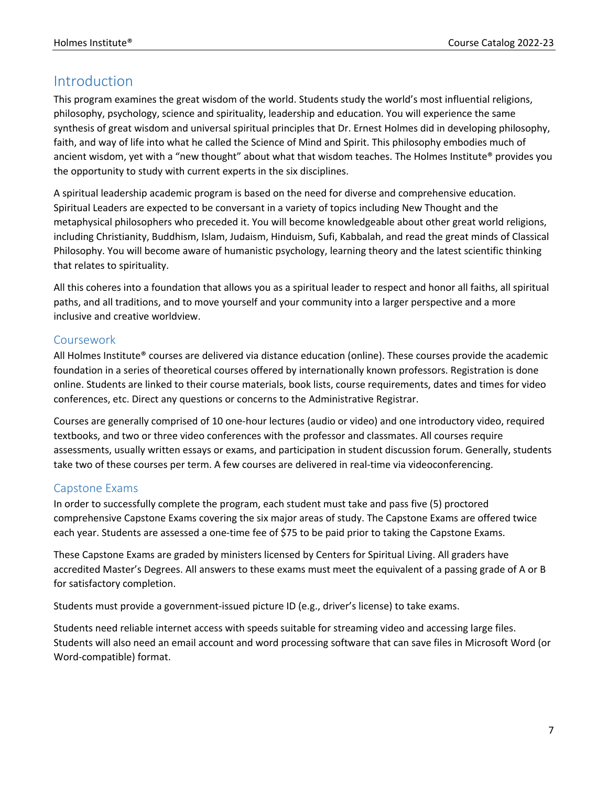## Introduction

This program examines the great wisdom of the world. Students study the world's most influential religions, philosophy, psychology, science and spirituality, leadership and education. You will experience the same synthesis of great wisdom and universal spiritual principles that Dr. Ernest Holmes did in developing philosophy, faith, and way of life into what he called the Science of Mind and Spirit. This philosophy embodies much of ancient wisdom, yet with a "new thought" about what that wisdom teaches. The Holmes Institute® provides you the opportunity to study with current experts in the six disciplines.

A spiritual leadership academic program is based on the need for diverse and comprehensive education. Spiritual Leaders are expected to be conversant in a variety of topics including New Thought and the metaphysical philosophers who preceded it. You will become knowledgeable about other great world religions, including Christianity, Buddhism, Islam, Judaism, Hinduism, Sufi, Kabbalah, and read the great minds of Classical Philosophy. You will become aware of humanistic psychology, learning theory and the latest scientific thinking that relates to spirituality.

All this coheres into a foundation that allows you as a spiritual leader to respect and honor all faiths, all spiritual paths, and all traditions, and to move yourself and your community into a larger perspective and a more inclusive and creative worldview.

### Coursework

All Holmes Institute® courses are delivered via distance education (online). These courses provide the academic foundation in a series of theoretical courses offered by internationally known professors. Registration is done online. Students are linked to their course materials, book lists, course requirements, dates and times for video conferences, etc. Direct any questions or concerns to the Administrative Registrar.

Courses are generally comprised of 10 one-hour lectures (audio or video) and one introductory video, required textbooks, and two or three video conferences with the professor and classmates. All courses require assessments, usually written essays or exams, and participation in student discussion forum. Generally, students take two of these courses per term. A few courses are delivered in real-time via videoconferencing.

### Capstone Exams

In order to successfully complete the program, each student must take and pass five (5) proctored comprehensive Capstone Exams covering the six major areas of study. The Capstone Exams are offered twice each year. Students are assessed a one-time fee of \$75 to be paid prior to taking the Capstone Exams.

These Capstone Exams are graded by ministers licensed by Centers for Spiritual Living. All graders have accredited Master's Degrees. All answers to these exams must meet the equivalent of a passing grade of A or B for satisfactory completion.

Students must provide a government-issued picture ID (e.g., driver's license) to take exams.

Students need reliable internet access with speeds suitable for streaming video and accessing large files. Students will also need an email account and word processing software that can save files in Microsoft Word (or Word-compatible) format.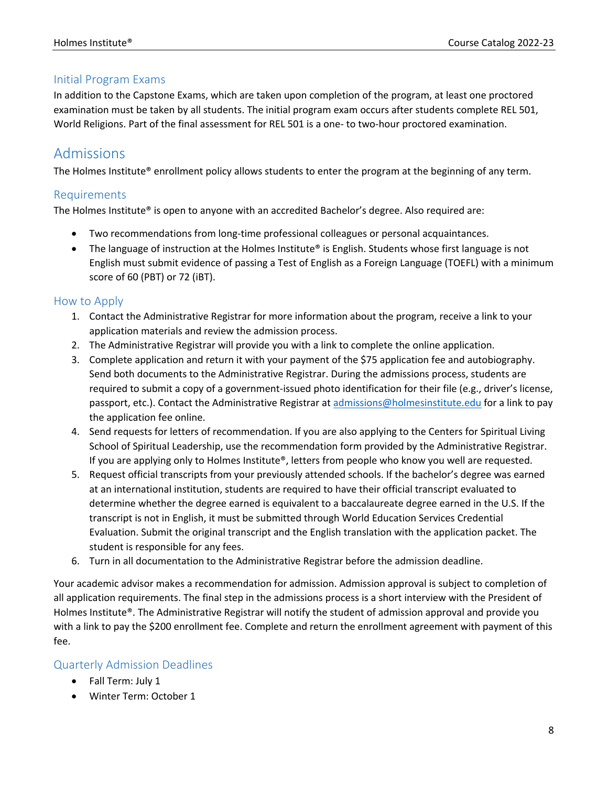### Initial Program Exams

In addition to the Capstone Exams, which are taken upon completion of the program, at least one proctored examination must be taken by all students. The initial program exam occurs after students complete REL 501, World Religions. Part of the final assessment for REL 501 is a one- to two-hour proctored examination.

## Admissions

The Holmes Institute® enrollment policy allows students to enter the program at the beginning of any term.

#### Requirements

The Holmes Institute® is open to anyone with an accredited Bachelor's degree. Also required are:

- Two recommendations from long-time professional colleagues or personal acquaintances.
- The language of instruction at the Holmes Institute® is English. Students whose first language is not English must submit evidence of passing a Test of English as a Foreign Language (TOEFL) with a minimum score of 60 (PBT) or 72 (iBT).

#### How to Apply

- 1. Contact the Administrative Registrar for more information about the program, receive a link to your application materials and review the admission process.
- 2. The Administrative Registrar will provide you with a link to complete the online application.
- 3. Complete application and return it with your payment of the \$75 application fee and autobiography. Send both documents to the Administrative Registrar. During the admissions process, students are required to submit a copy of a government-issued photo identification for their file (e.g., driver's license, passport, etc.). Contact the Administrative Registrar at admissions@holmesinstitute.edu for a link to pay the application fee online.
- 4. Send requests for letters of recommendation. If you are also applying to the Centers for Spiritual Living School of Spiritual Leadership, use the recommendation form provided by the Administrative Registrar. If you are applying only to Holmes Institute®, letters from people who know you well are requested.
- 5. Request official transcripts from your previously attended schools. If the bachelor's degree was earned at an international institution, students are required to have their official transcript evaluated to determine whether the degree earned is equivalent to a baccalaureate degree earned in the U.S. If the transcript is not in English, it must be submitted through World Education Services Credential Evaluation. Submit the original transcript and the English translation with the application packet. The student is responsible for any fees.
- 6. Turn in all documentation to the Administrative Registrar before the admission deadline.

Your academic advisor makes a recommendation for admission. Admission approval is subject to completion of all application requirements. The final step in the admissions process is a short interview with the President of Holmes Institute®. The Administrative Registrar will notify the student of admission approval and provide you with a link to pay the \$200 enrollment fee. Complete and return the enrollment agreement with payment of this fee.

### Quarterly Admission Deadlines

- Fall Term: July 1
- Winter Term: October 1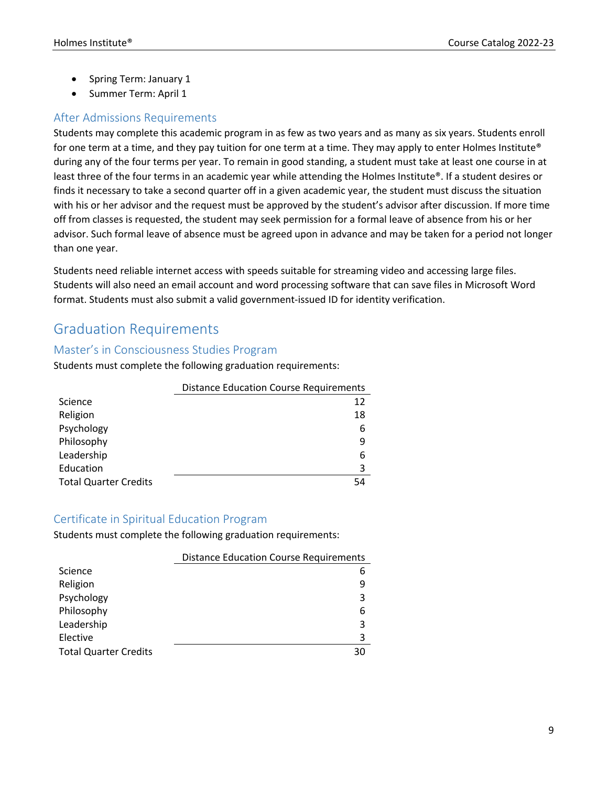- Spring Term: January 1
- Summer Term: April 1

### After Admissions Requirements

Students may complete this academic program in as few as two years and as many as six years. Students enroll for one term at a time, and they pay tuition for one term at a time. They may apply to enter Holmes Institute® during any of the four terms per year. To remain in good standing, a student must take at least one course in at least three of the four terms in an academic year while attending the Holmes Institute®. If a student desires or finds it necessary to take a second quarter off in a given academic year, the student must discuss the situation with his or her advisor and the request must be approved by the student's advisor after discussion. If more time off from classes is requested, the student may seek permission for a formal leave of absence from his or her advisor. Such formal leave of absence must be agreed upon in advance and may be taken for a period not longer than one year.

Students need reliable internet access with speeds suitable for streaming video and accessing large files. Students will also need an email account and word processing software that can save files in Microsoft Word format. Students must also submit a valid government-issued ID for identity verification.

## Graduation Requirements

#### Master's in Consciousness Studies Program

Students must complete the following graduation requirements:

|                              | <b>Distance Education Course Requirements</b> |
|------------------------------|-----------------------------------------------|
| Science                      | 12                                            |
| Religion                     | 18                                            |
| Psychology                   | 6                                             |
| Philosophy                   | q                                             |
| Leadership                   | 6                                             |
| Education                    | 3                                             |
| <b>Total Quarter Credits</b> | 54                                            |

#### Certificate in Spiritual Education Program

Students must complete the following graduation requirements:

|                              | <b>Distance Education Course Requirements</b> |
|------------------------------|-----------------------------------------------|
| Science                      |                                               |
| Religion                     |                                               |
| Psychology                   | 3                                             |
| Philosophy                   | b                                             |
| Leadership                   | 3                                             |
| Elective                     |                                               |
| <b>Total Quarter Credits</b> | 30                                            |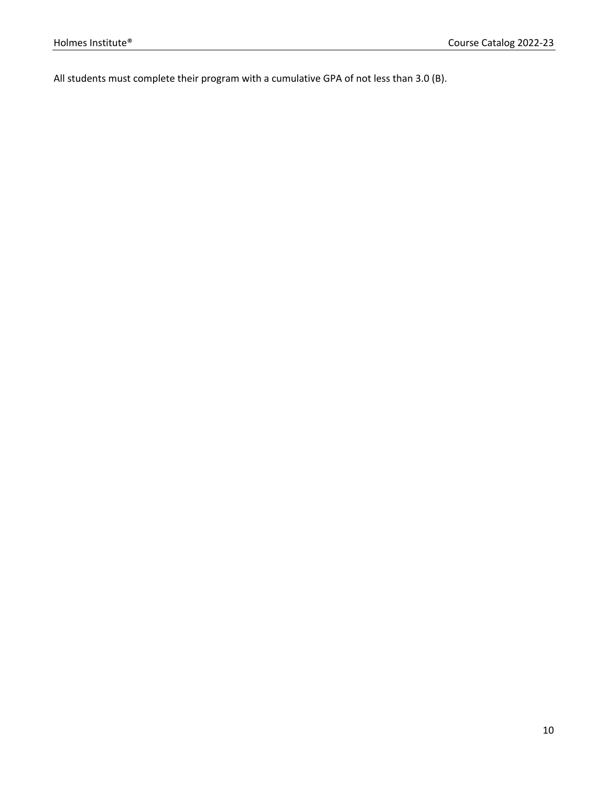All students must complete their program with a cumulative GPA of not less than 3.0 (B).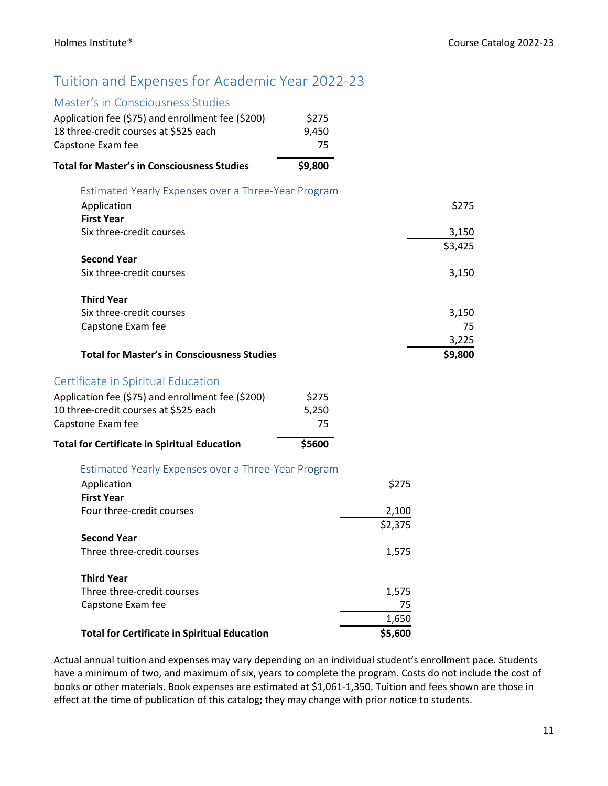## Tuition and Expenses for Academic Year 2022-23

### Master's in Consciousness Studies

| RINGSICI S III CONSCIOUSITESS STUUIES               |         |         |         |
|-----------------------------------------------------|---------|---------|---------|
| Application fee (\$75) and enrollment fee (\$200)   | \$275   |         |         |
| 18 three-credit courses at \$525 each               | 9,450   |         |         |
| Capstone Exam fee                                   | 75      |         |         |
| <b>Total for Master's in Consciousness Studies</b>  | \$9,800 |         |         |
| Estimated Yearly Expenses over a Three-Year Program |         |         |         |
| Application                                         |         |         | \$275   |
| <b>First Year</b>                                   |         |         |         |
| Six three-credit courses                            |         |         | 3,150   |
|                                                     |         |         | \$3,425 |
| <b>Second Year</b>                                  |         |         |         |
| Six three-credit courses                            |         |         | 3,150   |
| <b>Third Year</b>                                   |         |         |         |
| Six three-credit courses                            |         |         | 3,150   |
| Capstone Exam fee                                   |         |         | 75      |
|                                                     |         |         | 3,225   |
|                                                     |         |         |         |
| <b>Total for Master's in Consciousness Studies</b>  |         |         | \$9,800 |
| Certificate in Spiritual Education                  |         |         |         |
| Application fee (\$75) and enrollment fee (\$200)   | \$275   |         |         |
| 10 three-credit courses at \$525 each               | 5,250   |         |         |
| Capstone Exam fee                                   | 75      |         |         |
| <b>Total for Certificate in Spiritual Education</b> | \$5600  |         |         |
| Estimated Yearly Expenses over a Three-Year Program |         |         |         |
| Application                                         |         | \$275   |         |
| <b>First Year</b>                                   |         |         |         |
| Four three-credit courses                           |         | 2,100   |         |
|                                                     |         | \$2,375 |         |
| <b>Second Year</b>                                  |         |         |         |
| Three three-credit courses                          |         | 1,575   |         |
|                                                     |         |         |         |
| <b>Third Year</b>                                   |         |         |         |
| Three three-credit courses                          |         | 1,575   |         |
| Capstone Exam fee                                   |         | 75      |         |
|                                                     |         | 1,650   |         |
| <b>Total for Certificate in Spiritual Education</b> |         | \$5,600 |         |

Actual annual tuition and expenses may vary depending on an individual student's enrollment pace. Students have a minimum of two, and maximum of six, years to complete the program. Costs do not include the cost of books or other materials. Book expenses are estimated at \$1,061-1,350. Tuition and fees shown are those in effect at the time of publication of this catalog; they may change with prior notice to students.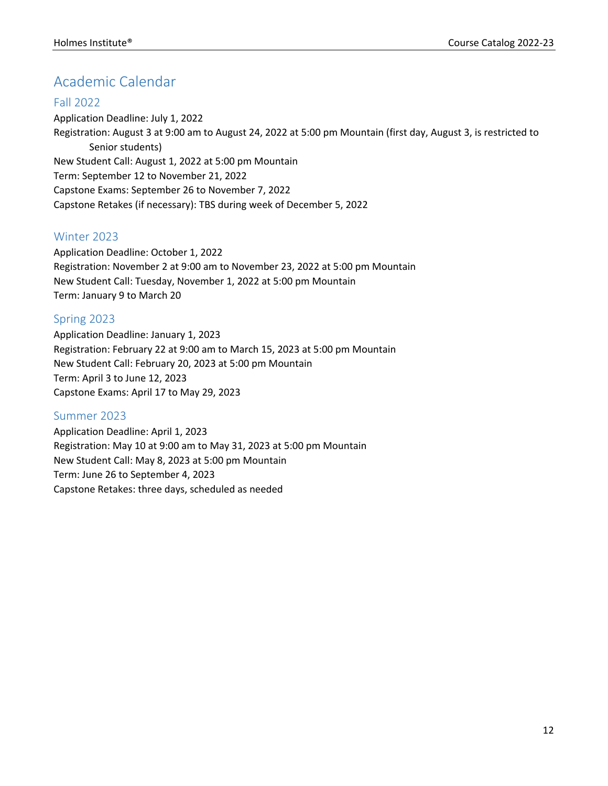## Academic Calendar

#### Fall 2022

Application Deadline: July 1, 2022 Registration: August 3 at 9:00 am to August 24, 2022 at 5:00 pm Mountain (first day, August 3, is restricted to Senior students) New Student Call: August 1, 2022 at 5:00 pm Mountain Term: September 12 to November 21, 2022 Capstone Exams: September 26 to November 7, 2022 Capstone Retakes (if necessary): TBS during week of December 5, 2022

### Winter 2023

Application Deadline: October 1, 2022 Registration: November 2 at 9:00 am to November 23, 2022 at 5:00 pm Mountain New Student Call: Tuesday, November 1, 2022 at 5:00 pm Mountain Term: January 9 to March 20

### Spring 2023

Application Deadline: January 1, 2023 Registration: February 22 at 9:00 am to March 15, 2023 at 5:00 pm Mountain New Student Call: February 20, 2023 at 5:00 pm Mountain Term: April 3 to June 12, 2023 Capstone Exams: April 17 to May 29, 2023

#### Summer 2023

Application Deadline: April 1, 2023 Registration: May 10 at 9:00 am to May 31, 2023 at 5:00 pm Mountain New Student Call: May 8, 2023 at 5:00 pm Mountain Term: June 26 to September 4, 2023 Capstone Retakes: three days, scheduled as needed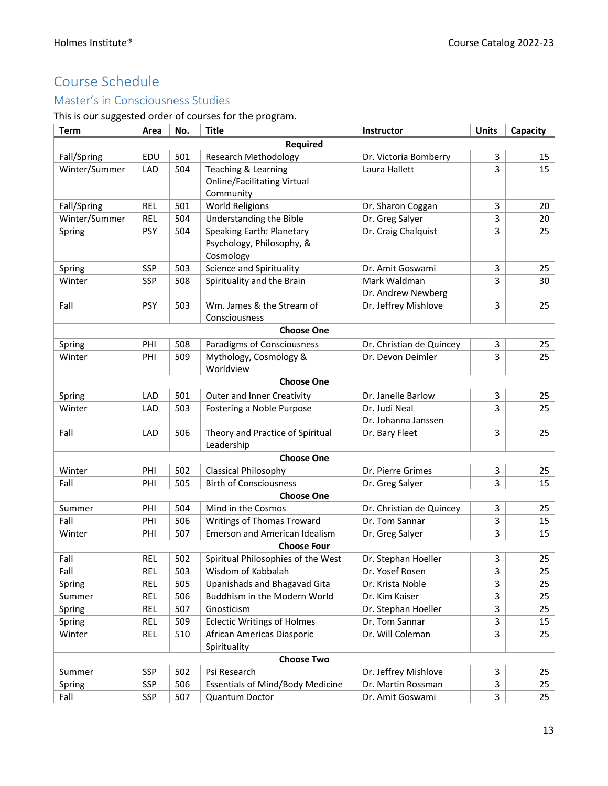## Course Schedule

## Master's in Consciousness Studies

This is our suggested order of courses for the program.

| <b>Term</b>   | Area       | No. | <b>Title</b>                            | Instructor                                 | <b>Units</b> | Capacity         |
|---------------|------------|-----|-----------------------------------------|--------------------------------------------|--------------|------------------|
|               |            |     | <b>Required</b>                         |                                            |              |                  |
| Fall/Spring   | EDU        | 501 | <b>Research Methodology</b>             | Dr. Victoria Bomberry                      | 3            | 15               |
| Winter/Summer | LAD        | 504 | Teaching & Learning                     | Laura Hallett                              | 3            | 15               |
|               |            |     | <b>Online/Facilitating Virtual</b>      |                                            |              |                  |
|               |            |     | Community                               |                                            |              |                  |
| Fall/Spring   | <b>REL</b> | 501 | <b>World Religions</b>                  | Dr. Sharon Coggan                          | 3            | 20               |
| Winter/Summer | <b>REL</b> | 504 | Understanding the Bible                 | Dr. Greg Salyer                            | 3            | 20               |
| Spring        | <b>PSY</b> | 504 | Speaking Earth: Planetary               | Dr. Craig Chalquist                        | 3            | 25               |
|               |            |     | Psychology, Philosophy, &               |                                            |              |                  |
|               |            |     | Cosmology                               |                                            |              |                  |
| Spring        | <b>SSP</b> | 503 | Science and Spirituality                | Dr. Amit Goswami                           | 3            | 25               |
| Winter        | <b>SSP</b> | 508 | Spirituality and the Brain              | Mark Waldman                               | 3            | 30               |
| Fall          | <b>PSY</b> | 503 | Wm. James & the Stream of               | Dr. Andrew Newberg<br>Dr. Jeffrey Mishlove | 3            | 25               |
|               |            |     | Consciousness                           |                                            |              |                  |
|               |            |     | <b>Choose One</b>                       |                                            |              |                  |
| Spring        | PHI        | 508 | <b>Paradigms of Consciousness</b>       | Dr. Christian de Quincey                   | 3            | 25               |
| Winter        | PHI        | 509 | Mythology, Cosmology &                  | Dr. Devon Deimler                          | 3            | 25               |
|               |            |     | Worldview                               |                                            |              |                  |
|               |            |     | <b>Choose One</b>                       |                                            |              |                  |
| Spring        | LAD        | 501 | <b>Outer and Inner Creativity</b>       | Dr. Janelle Barlow                         | 3            | 25               |
| Winter        | LAD        | 503 | Fostering a Noble Purpose               | Dr. Judi Neal                              | 3            | 25               |
|               |            |     |                                         | Dr. Johanna Janssen                        |              |                  |
| Fall          | LAD        | 506 | Theory and Practice of Spiritual        | Dr. Bary Fleet                             | 3            | 25               |
|               |            |     | Leadership                              |                                            |              |                  |
|               |            |     | <b>Choose One</b>                       |                                            |              |                  |
| Winter        | PHI        | 502 | Classical Philosophy                    | Dr. Pierre Grimes                          | 3            | 25               |
| Fall          | PHI        | 505 | <b>Birth of Consciousness</b>           | Dr. Greg Salyer                            | 3            | 15               |
|               |            |     | <b>Choose One</b>                       |                                            |              |                  |
| Summer        | PHI        | 504 | Mind in the Cosmos                      | Dr. Christian de Quincey                   | 3            | 25               |
| Fall          | PHI        | 506 | Writings of Thomas Troward              | Dr. Tom Sannar                             | 3            | 15               |
| Winter        | PHI        | 507 | <b>Emerson and American Idealism</b>    | Dr. Greg Salyer                            | 3            | 15               |
|               |            |     | <b>Choose Four</b>                      |                                            |              |                  |
| Fall          | <b>REL</b> | 502 | Spiritual Philosophies of the West      | Dr. Stephan Hoeller                        | 3            | 25               |
| Fall          | <b>REL</b> | 503 | Wisdom of Kabbalah                      | Dr. Yosef Rosen                            | 3            | $25\overline{)}$ |
| Spring        | <b>REL</b> | 505 | Upanishads and Bhagavad Gita            | Dr. Krista Noble                           | 3            | 25               |
| Summer        | <b>REL</b> | 506 | Buddhism in the Modern World            | Dr. Kim Kaiser                             | 3            | 25               |
| Spring        | <b>REL</b> | 507 | Gnosticism                              | Dr. Stephan Hoeller                        | 3            | 25               |
| Spring        | <b>REL</b> | 509 | <b>Eclectic Writings of Holmes</b>      | Dr. Tom Sannar                             | 3            | 15               |
| Winter        | REL        | 510 | African Americas Diasporic              | Dr. Will Coleman                           | 3            | 25               |
|               |            |     | Spirituality                            |                                            |              |                  |
|               |            |     | <b>Choose Two</b>                       |                                            |              |                  |
| Summer        | SSP        | 502 | Psi Research                            | Dr. Jeffrey Mishlove                       | 3            | 25               |
| Spring        | <b>SSP</b> | 506 | <b>Essentials of Mind/Body Medicine</b> | Dr. Martin Rossman                         | 3            | 25               |
| Fall          | <b>SSP</b> | 507 | Quantum Doctor                          | Dr. Amit Goswami                           | 3            | 25               |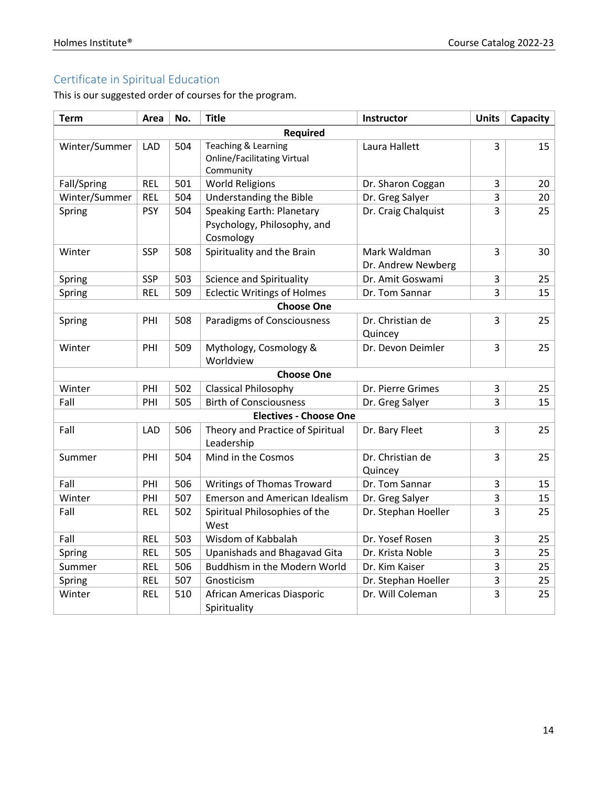## Certificate in Spiritual Education

This is our suggested order of courses for the program.

| <b>Term</b>   | Area       | No. | <b>Title</b>                                                                 | Instructor                         | <b>Units</b> | Capacity |
|---------------|------------|-----|------------------------------------------------------------------------------|------------------------------------|--------------|----------|
|               |            |     | <b>Required</b>                                                              |                                    |              |          |
| Winter/Summer | LAD        | 504 | Teaching & Learning<br><b>Online/Facilitating Virtual</b><br>Community       | Laura Hallett                      | 3            | 15       |
| Fall/Spring   | <b>REL</b> | 501 | <b>World Religions</b>                                                       | Dr. Sharon Coggan                  | 3            | 20       |
| Winter/Summer | <b>REL</b> | 504 | Understanding the Bible                                                      | Dr. Greg Salyer                    | 3            | 20       |
| Spring        | <b>PSY</b> | 504 | <b>Speaking Earth: Planetary</b><br>Psychology, Philosophy, and<br>Cosmology | Dr. Craig Chalquist                | 3            | 25       |
| Winter        | <b>SSP</b> | 508 | Spirituality and the Brain                                                   | Mark Waldman<br>Dr. Andrew Newberg | 3            | 30       |
| Spring        | <b>SSP</b> | 503 | <b>Science and Spirituality</b>                                              | Dr. Amit Goswami                   | 3            | 25       |
| Spring        | <b>REL</b> | 509 | <b>Eclectic Writings of Holmes</b>                                           | Dr. Tom Sannar                     | 3            | 15       |
|               |            |     | <b>Choose One</b>                                                            |                                    |              |          |
| Spring        | PHI        | 508 | Paradigms of Consciousness                                                   | Dr. Christian de<br>Quincey        | 3            | 25       |
| Winter        | PHI        | 509 | Mythology, Cosmology &<br>Worldview                                          | Dr. Devon Deimler                  | 3            | 25       |
|               |            |     | <b>Choose One</b>                                                            |                                    |              |          |
| Winter        | PHI        | 502 | <b>Classical Philosophy</b>                                                  | Dr. Pierre Grimes                  | 3            | 25       |
| Fall          | PHI        | 505 | <b>Birth of Consciousness</b>                                                | Dr. Greg Salyer                    | 3            | 15       |
|               |            |     | <b>Electives - Choose One</b>                                                |                                    |              |          |
| Fall          | LAD        | 506 | Theory and Practice of Spiritual<br>Leadership                               | Dr. Bary Fleet                     | 3            | 25       |
| Summer        | PHI        | 504 | Mind in the Cosmos                                                           | Dr. Christian de<br>Quincey        | 3            | 25       |
| Fall          | PHI        | 506 | <b>Writings of Thomas Troward</b>                                            | Dr. Tom Sannar                     | 3            | 15       |
| Winter        | PHI        | 507 | <b>Emerson and American Idealism</b>                                         | Dr. Greg Salyer                    | 3            | 15       |
| Fall          | <b>REL</b> | 502 | Spiritual Philosophies of the<br>West                                        | Dr. Stephan Hoeller                | 3            | 25       |
| Fall          | <b>REL</b> | 503 | Wisdom of Kabbalah                                                           | Dr. Yosef Rosen                    | 3            | 25       |
| Spring        | <b>REL</b> | 505 | Upanishads and Bhagavad Gita                                                 | Dr. Krista Noble                   | 3            | 25       |
| Summer        | <b>REL</b> | 506 | Buddhism in the Modern World                                                 | Dr. Kim Kaiser                     | 3            | 25       |
| Spring        | <b>REL</b> | 507 | Gnosticism                                                                   | Dr. Stephan Hoeller                | 3            | 25       |
| Winter        | <b>REL</b> | 510 | African Americas Diasporic<br>Spirituality                                   | Dr. Will Coleman                   | 3            | 25       |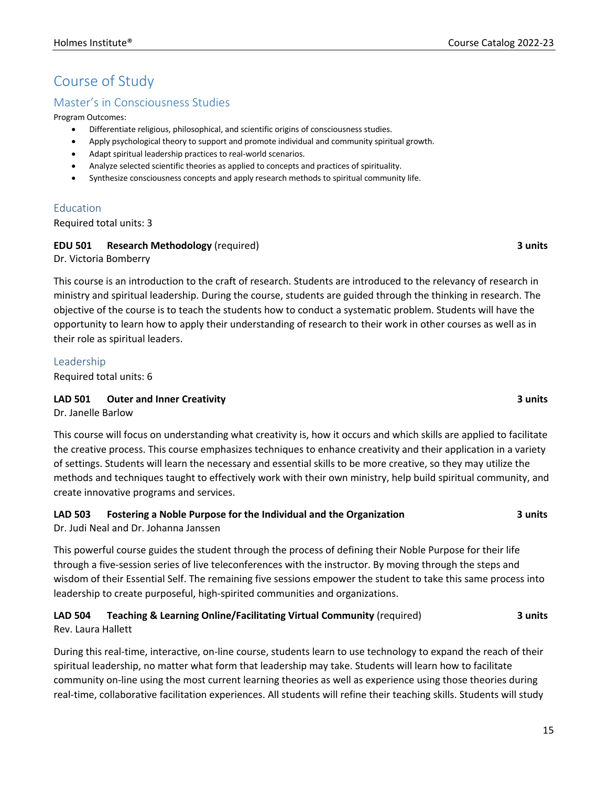## Course of Study

#### Master's in Consciousness Studies

Program Outcomes:

- Differentiate religious, philosophical, and scientific origins of consciousness studies.
- Apply psychological theory to support and promote individual and community spiritual growth.
- Adapt spiritual leadership practices to real-world scenarios.
- Analyze selected scientific theories as applied to concepts and practices of spirituality.
- Synthesize consciousness concepts and apply research methods to spiritual community life.

#### Education

Required total units: 3

#### **EDU 501 Research Methodology** (required) **3 units**

Dr. Victoria Bomberry

This course is an introduction to the craft of research. Students are introduced to the relevancy of research in ministry and spiritual leadership. During the course, students are guided through the thinking in research. The objective of the course is to teach the students how to conduct a systematic problem. Students will have the opportunity to learn how to apply their understanding of research to their work in other courses as well as in their role as spiritual leaders.

#### Leadership

Required total units: 6

#### **LAD 501 Outer and Inner Creativity 3 units**

Dr. Janelle Barlow

This course will focus on understanding what creativity is, how it occurs and which skills are applied to facilitate the creative process. This course emphasizes techniques to enhance creativity and their application in a variety of settings. Students will learn the necessary and essential skills to be more creative, so they may utilize the methods and techniques taught to effectively work with their own ministry, help build spiritual community, and create innovative programs and services.

## **LAD 503 Fostering a Noble Purpose for the Individual and the Organization 3 units**

Dr. Judi Neal and Dr. Johanna Janssen

This powerful course guides the student through the process of defining their Noble Purpose for their life through a five-session series of live teleconferences with the instructor. By moving through the steps and wisdom of their Essential Self. The remaining five sessions empower the student to take this same process into leadership to create purposeful, high-spirited communities and organizations.

#### **LAD 504 Teaching & Learning Online/Facilitating Virtual Community** (required) **3 units** Rev. Laura Hallett

During this real-time, interactive, on-line course, students learn to use technology to expand the reach of their spiritual leadership, no matter what form that leadership may take. Students will learn how to facilitate community on-line using the most current learning theories as well as experience using those theories during real-time, collaborative facilitation experiences. All students will refine their teaching skills. Students will study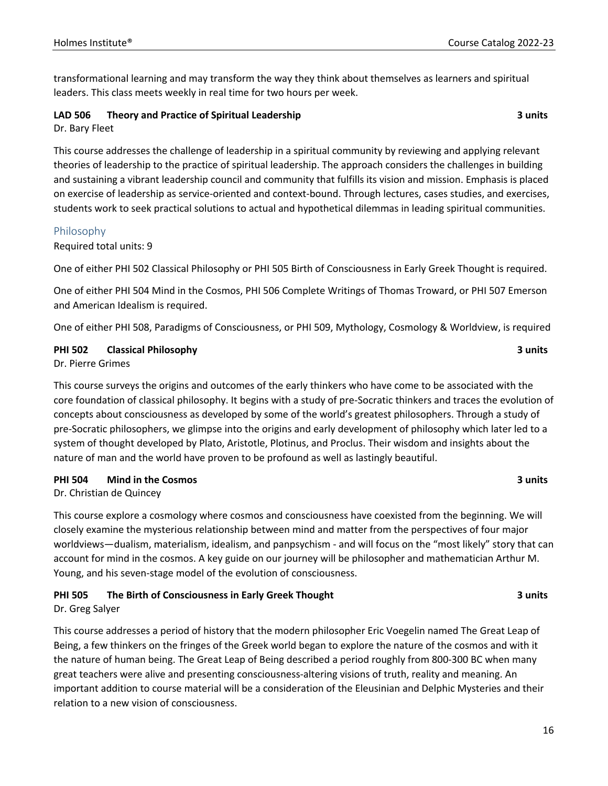transformational learning and may transform the way they think about themselves as learners and spiritual leaders. This class meets weekly in real time for two hours per week.

#### **LAD 506 Theory and Practice of Spiritual Leadership 3 units**

Dr. Bary Fleet

This course addresses the challenge of leadership in a spiritual community by reviewing and applying relevant theories of leadership to the practice of spiritual leadership. The approach considers the challenges in building and sustaining a vibrant leadership council and community that fulfills its vision and mission. Emphasis is placed on exercise of leadership as service-oriented and context-bound. Through lectures, cases studies, and exercises, students work to seek practical solutions to actual and hypothetical dilemmas in leading spiritual communities.

#### Philosophy

Required total units: 9

One of either PHI 502 Classical Philosophy or PHI 505 Birth of Consciousness in Early Greek Thought is required.

One of either PHI 504 Mind in the Cosmos, PHI 506 Complete Writings of Thomas Troward, or PHI 507 Emerson and American Idealism is required.

One of either PHI 508, Paradigms of Consciousness, or PHI 509, Mythology, Cosmology & Worldview, is required

#### **PHI 502 Classical Philosophy 3 units**

Dr. Pierre Grimes

This course surveys the origins and outcomes of the early thinkers who have come to be associated with the core foundation of classical philosophy. It begins with a study of pre-Socratic thinkers and traces the evolution of concepts about consciousness as developed by some of the world's greatest philosophers. Through a study of pre-Socratic philosophers, we glimpse into the origins and early development of philosophy which later led to a system of thought developed by Plato, Aristotle, Plotinus, and Proclus. Their wisdom and insights about the nature of man and the world have proven to be profound as well as lastingly beautiful.

#### **PHI 504 Mind in the Cosmos 3 units**

Dr. Christian de Quincey

This course explore a cosmology where cosmos and consciousness have coexisted from the beginning. We will closely examine the mysterious relationship between mind and matter from the perspectives of four major worldviews—dualism, materialism, idealism, and panpsychism - and will focus on the "most likely" story that can account for mind in the cosmos. A key guide on our journey will be philosopher and mathematician Arthur M. Young, and his seven-stage model of the evolution of consciousness.

#### **PHI 505 The Birth of Consciousness in Early Greek Thought 3 units**

Dr. Greg Salyer

This course addresses a period of history that the modern philosopher Eric Voegelin named The Great Leap of Being, a few thinkers on the fringes of the Greek world began to explore the nature of the cosmos and with it the nature of human being. The Great Leap of Being described a period roughly from 800-300 BC when many great teachers were alive and presenting consciousness-altering visions of truth, reality and meaning. An important addition to course material will be a consideration of the Eleusinian and Delphic Mysteries and their relation to a new vision of consciousness.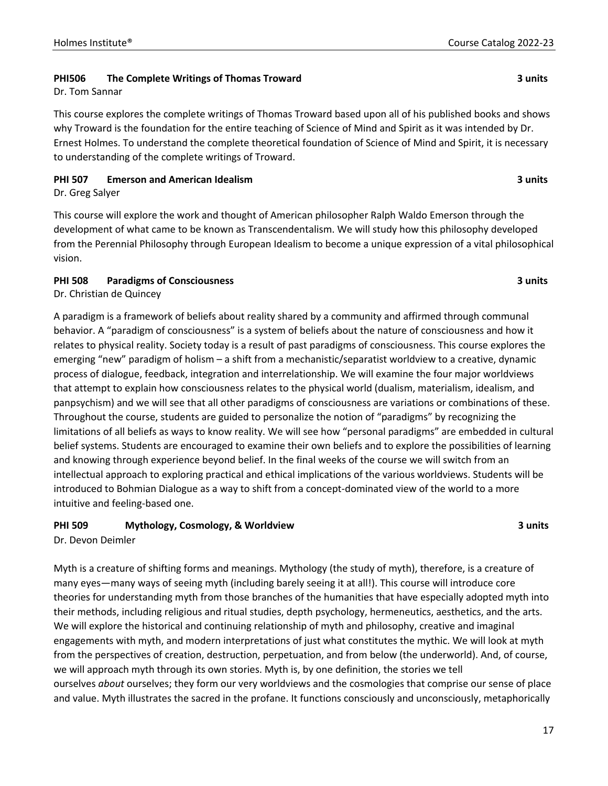#### **PHI506 The Complete Writings of Thomas Troward 3 units**

Dr. Tom Sannar

This course explores the complete writings of Thomas Troward based upon all of his published books and shows why Troward is the foundation for the entire teaching of Science of Mind and Spirit as it was intended by Dr. Ernest Holmes. To understand the complete theoretical foundation of Science of Mind and Spirit, it is necessary to understanding of the complete writings of Troward.

#### **PHI 507 Emerson and American Idealism 3 units**

Dr. Greg Salyer

This course will explore the work and thought of American philosopher Ralph Waldo Emerson through the development of what came to be known as Transcendentalism. We will study how this philosophy developed from the Perennial Philosophy through European Idealism to become a unique expression of a vital philosophical vision.

#### **PHI 508 Paradigms of Consciousness 3 units**

Dr. Christian de Quincey

A paradigm is a framework of beliefs about reality shared by a community and affirmed through communal behavior. A "paradigm of consciousness" is a system of beliefs about the nature of consciousness and how it relates to physical reality. Society today is a result of past paradigms of consciousness. This course explores the emerging "new" paradigm of holism – a shift from a mechanistic/separatist worldview to a creative, dynamic process of dialogue, feedback, integration and interrelationship. We will examine the four major worldviews that attempt to explain how consciousness relates to the physical world (dualism, materialism, idealism, and panpsychism) and we will see that all other paradigms of consciousness are variations or combinations of these. Throughout the course, students are guided to personalize the notion of "paradigms" by recognizing the limitations of all beliefs as ways to know reality. We will see how "personal paradigms" are embedded in cultural belief systems. Students are encouraged to examine their own beliefs and to explore the possibilities of learning and knowing through experience beyond belief. In the final weeks of the course we will switch from an intellectual approach to exploring practical and ethical implications of the various worldviews. Students will be introduced to Bohmian Dialogue as a way to shift from a concept-dominated view of the world to a more intuitive and feeling-based one.

#### **PHI 509 Mythology, Cosmology, & Worldview 3 units**

Dr. Devon Deimler

Myth is a creature of shifting forms and meanings. Mythology (the study of myth), therefore, is a creature of many eyes—many ways of seeing myth (including barely seeing it at all!). This course will introduce core theories for understanding myth from those branches of the humanities that have especially adopted myth into their methods, including religious and ritual studies, depth psychology, hermeneutics, aesthetics, and the arts. We will explore the historical and continuing relationship of myth and philosophy, creative and imaginal engagements with myth, and modern interpretations of just what constitutes the mythic. We will look at myth from the perspectives of creation, destruction, perpetuation, and from below (the underworld). And, of course, we will approach myth through its own stories. Myth is, by one definition, the stories we tell ourselves *about* ourselves; they form our very worldviews and the cosmologies that comprise our sense of place and value. Myth illustrates the sacred in the profane. It functions consciously and unconsciously, metaphorically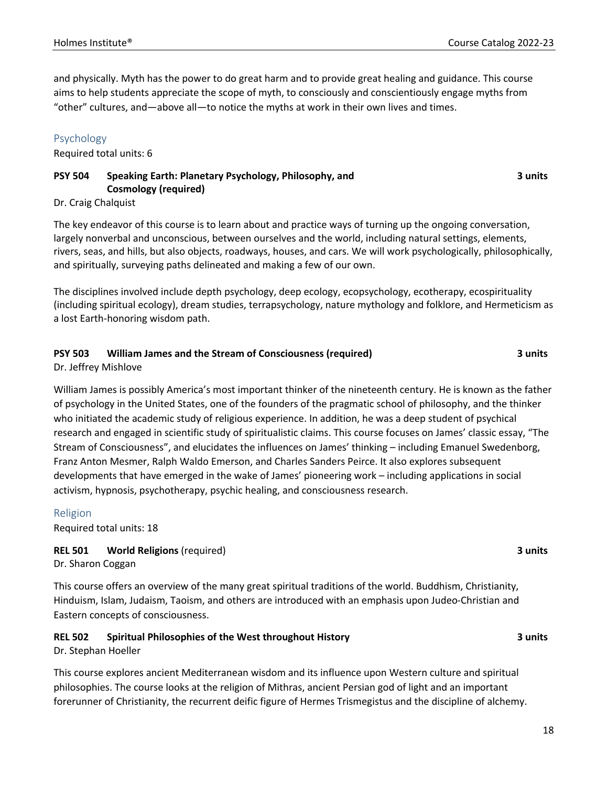and physically. Myth has the power to do great harm and to provide great healing and guidance. This course aims to help students appreciate the scope of myth, to consciously and conscientiously engage myths from "other" cultures, and—above all—to notice the myths at work in their own lives and times.

#### Psychology

Required total units: 6

#### **PSY 504 Speaking Earth: Planetary Psychology, Philosophy, and Cosmology (required)**

**3 units**

#### Dr. Craig Chalquist

The key endeavor of this course is to learn about and practice ways of turning up the ongoing conversation, largely nonverbal and unconscious, between ourselves and the world, including natural settings, elements, rivers, seas, and hills, but also objects, roadways, houses, and cars. We will work psychologically, philosophically, and spiritually, surveying paths delineated and making a few of our own.

The disciplines involved include depth psychology, deep ecology, ecopsychology, ecotherapy, ecospirituality (including spiritual ecology), dream studies, terrapsychology, nature mythology and folklore, and Hermeticism as a lost Earth-honoring wisdom path.

#### **PSY 503 William James and the Stream of Consciousness (required) 3 units**

Dr. Jeffrey Mishlove

William James is possibly America's most important thinker of the nineteenth century. He is known as the father of psychology in the United States, one of the founders of the pragmatic school of philosophy, and the thinker who initiated the academic study of religious experience. In addition, he was a deep student of psychical research and engaged in scientific study of spiritualistic claims. This course focuses on James' classic essay, "The Stream of Consciousness", and elucidates the influences on James' thinking – including Emanuel Swedenborg, Franz Anton Mesmer, Ralph Waldo Emerson, and Charles Sanders Peirce. It also explores subsequent developments that have emerged in the wake of James' pioneering work – including applications in social activism, hypnosis, psychotherapy, psychic healing, and consciousness research.

#### Religion

Required total units: 18

#### **REL 501 World Religions** (required) **3 units**

Dr. Sharon Coggan

This course offers an overview of the many great spiritual traditions of the world. Buddhism, Christianity, Hinduism, Islam, Judaism, Taoism, and others are introduced with an emphasis upon Judeo-Christian and Eastern concepts of consciousness.

#### **REL 502 Spiritual Philosophies of the West throughout History 3 units** Dr. Stephan Hoeller

This course explores ancient Mediterranean wisdom and its influence upon Western culture and spiritual philosophies. The course looks at the religion of Mithras, ancient Persian god of light and an important forerunner of Christianity, the recurrent deific figure of Hermes Trismegistus and the discipline of alchemy.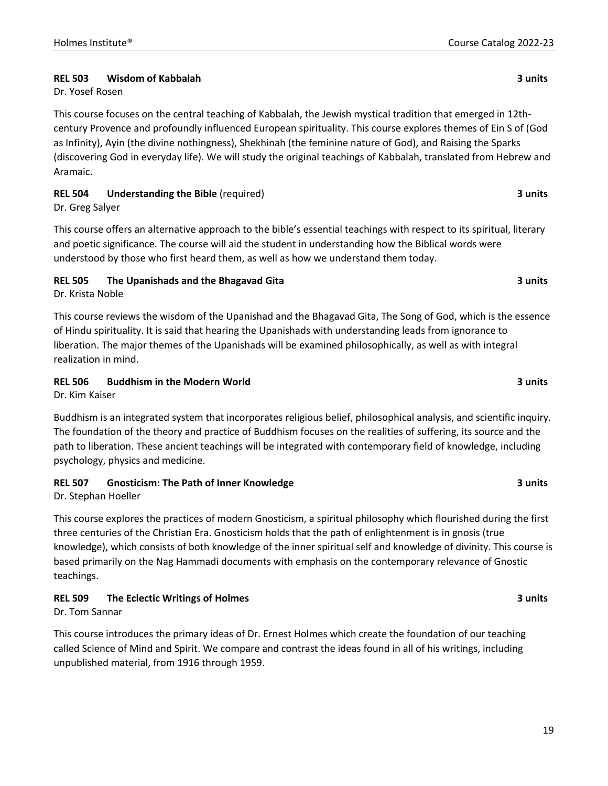#### **REL 503 Wisdom of Kabbalah 3 units**

#### Dr. Yosef Rosen

This course focuses on the central teaching of Kabbalah, the Jewish mystical tradition that emerged in 12thcentury Provence and profoundly influenced European spirituality. This course explores themes of Ein S of (God as Infinity), Ayin (the divine nothingness), Shekhinah (the feminine nature of God), and Raising the Sparks (discovering God in everyday life). We will study the original teachings of Kabbalah, translated from Hebrew and Aramaic.

#### **REL 504 Understanding the Bible** (required) **3 units**

Dr. Greg Salyer

This course offers an alternative approach to the bible's essential teachings with respect to its spiritual, literary and poetic significance. The course will aid the student in understanding how the Biblical words were understood by those who first heard them, as well as how we understand them today.

#### **REL 505 The Upanishads and the Bhagavad Gita 3 units**

Dr. Krista Noble

This course reviews the wisdom of the Upanishad and the Bhagavad Gita, The Song of God, which is the essence of Hindu spirituality. It is said that hearing the Upanishads with understanding leads from ignorance to liberation. The major themes of the Upanishads will be examined philosophically, as well as with integral realization in mind.

#### **REL 506 Buddhism in the Modern World 3 units**

Dr. Kim Kaiser

Buddhism is an integrated system that incorporates religious belief, philosophical analysis, and scientific inquiry. The foundation of the theory and practice of Buddhism focuses on the realities of suffering, its source and the path to liberation. These ancient teachings will be integrated with contemporary field of knowledge, including psychology, physics and medicine.

#### **REL 507 Gnosticism: The Path of Inner Knowledge 3 units**

Dr. Stephan Hoeller

This course explores the practices of modern Gnosticism, a spiritual philosophy which flourished during the first three centuries of the Christian Era. Gnosticism holds that the path of enlightenment is in gnosis (true knowledge), which consists of both knowledge of the inner spiritual self and knowledge of divinity. This course is based primarily on the Nag Hammadi documents with emphasis on the contemporary relevance of Gnostic teachings.

#### **REL 509 The Eclectic Writings of Holmes 3 units**

Dr. Tom Sannar

This course introduces the primary ideas of Dr. Ernest Holmes which create the foundation of our teaching called Science of Mind and Spirit. We compare and contrast the ideas found in all of his writings, including unpublished material, from 1916 through 1959.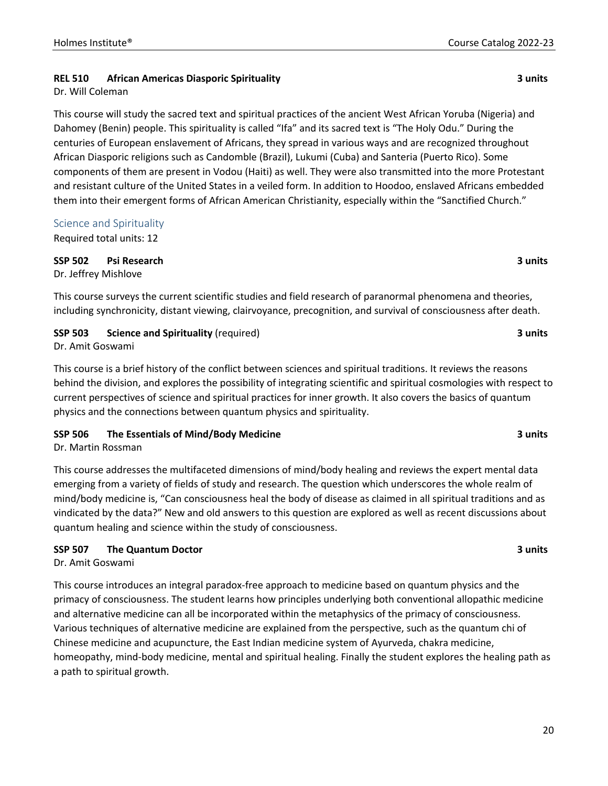#### **REL 510 African Americas Diasporic Spirituality 3 units**

Dr. Will Coleman

This course will study the sacred text and spiritual practices of the ancient West African Yoruba (Nigeria) and Dahomey (Benin) people. This spirituality is called "Ifa" and its sacred text is "The Holy Odu." During the centuries of European enslavement of Africans, they spread in various ways and are recognized throughout African Diasporic religions such as Candomble (Brazil), Lukumi (Cuba) and Santeria (Puerto Rico). Some components of them are present in Vodou (Haiti) as well. They were also transmitted into the more Protestant and resistant culture of the United States in a veiled form. In addition to Hoodoo, enslaved Africans embedded them into their emergent forms of African American Christianity, especially within the "Sanctified Church."

#### Science and Spirituality

Required total units: 12

**SSP 502 Psi Research 3 units** Dr. Jeffrey Mishlove

This course surveys the current scientific studies and field research of paranormal phenomena and theories, including synchronicity, distant viewing, clairvoyance, precognition, and survival of consciousness after death.

#### **SSP 503 Science and Spirituality** (required) **3 units**

Dr. Amit Goswami

This course is a brief history of the conflict between sciences and spiritual traditions. It reviews the reasons behind the division, and explores the possibility of integrating scientific and spiritual cosmologies with respect to current perspectives of science and spiritual practices for inner growth. It also covers the basics of quantum physics and the connections between quantum physics and spirituality.

#### **SSP 506 The Essentials of Mind/Body Medicine 3 units**

Dr. Martin Rossman

This course addresses the multifaceted dimensions of mind/body healing and reviews the expert mental data emerging from a variety of fields of study and research. The question which underscores the whole realm of mind/body medicine is, "Can consciousness heal the body of disease as claimed in all spiritual traditions and as vindicated by the data?" New and old answers to this question are explored as well as recent discussions about quantum healing and science within the study of consciousness.

#### **SSP 507 The Quantum Doctor 3 units**

Dr. Amit Goswami

This course introduces an integral paradox-free approach to medicine based on quantum physics and the primacy of consciousness. The student learns how principles underlying both conventional allopathic medicine and alternative medicine can all be incorporated within the metaphysics of the primacy of consciousness. Various techniques of alternative medicine are explained from the perspective, such as the quantum chi of Chinese medicine and acupuncture, the East Indian medicine system of Ayurveda, chakra medicine, homeopathy, mind-body medicine, mental and spiritual healing. Finally the student explores the healing path as a path to spiritual growth.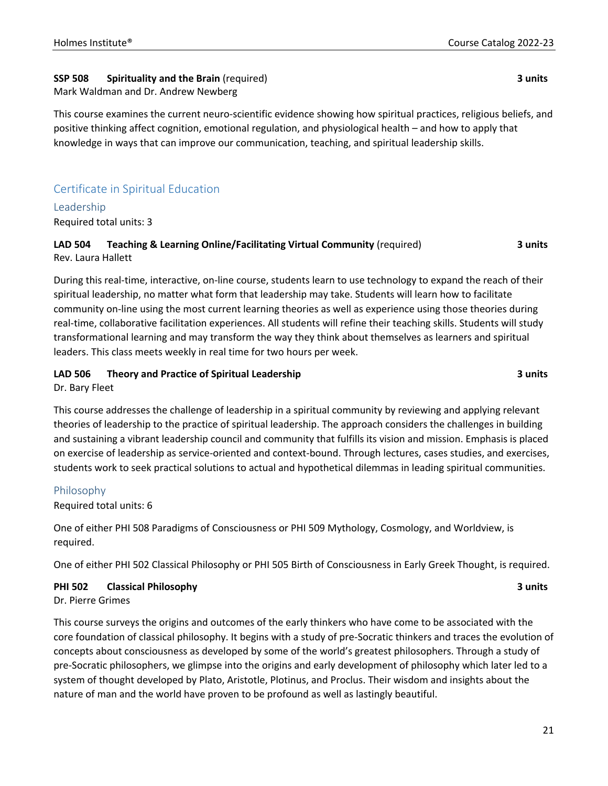### **SSP 508 Spirituality and the Brain** (required) **3 units**

#### Mark Waldman and Dr. Andrew Newberg

This course examines the current neuro-scientific evidence showing how spiritual practices, religious beliefs, and positive thinking affect cognition, emotional regulation, and physiological health – and how to apply that knowledge in ways that can improve our communication, teaching, and spiritual leadership skills.

### Certificate in Spiritual Education

#### Leadership

Required total units: 3

#### **LAD 504 Teaching & Learning Online/Facilitating Virtual Community** (required) **3 units** Rev. Laura Hallett

During this real-time, interactive, on-line course, students learn to use technology to expand the reach of their spiritual leadership, no matter what form that leadership may take. Students will learn how to facilitate community on-line using the most current learning theories as well as experience using those theories during real-time, collaborative facilitation experiences. All students will refine their teaching skills. Students will study transformational learning and may transform the way they think about themselves as learners and spiritual leaders. This class meets weekly in real time for two hours per week.

#### **LAD 506 Theory and Practice of Spiritual Leadership 3 units**

Dr. Bary Fleet

This course addresses the challenge of leadership in a spiritual community by reviewing and applying relevant theories of leadership to the practice of spiritual leadership. The approach considers the challenges in building and sustaining a vibrant leadership council and community that fulfills its vision and mission. Emphasis is placed on exercise of leadership as service-oriented and context-bound. Through lectures, cases studies, and exercises, students work to seek practical solutions to actual and hypothetical dilemmas in leading spiritual communities.

#### Philosophy

Required total units: 6

One of either PHI 508 Paradigms of Consciousness or PHI 509 Mythology, Cosmology, and Worldview, is required.

One of either PHI 502 Classical Philosophy or PHI 505 Birth of Consciousness in Early Greek Thought, is required.

#### **PHI 502 Classical Philosophy 3 units**

Dr. Pierre Grimes

This course surveys the origins and outcomes of the early thinkers who have come to be associated with the core foundation of classical philosophy. It begins with a study of pre-Socratic thinkers and traces the evolution of concepts about consciousness as developed by some of the world's greatest philosophers. Through a study of pre-Socratic philosophers, we glimpse into the origins and early development of philosophy which later led to a system of thought developed by Plato, Aristotle, Plotinus, and Proclus. Their wisdom and insights about the nature of man and the world have proven to be profound as well as lastingly beautiful.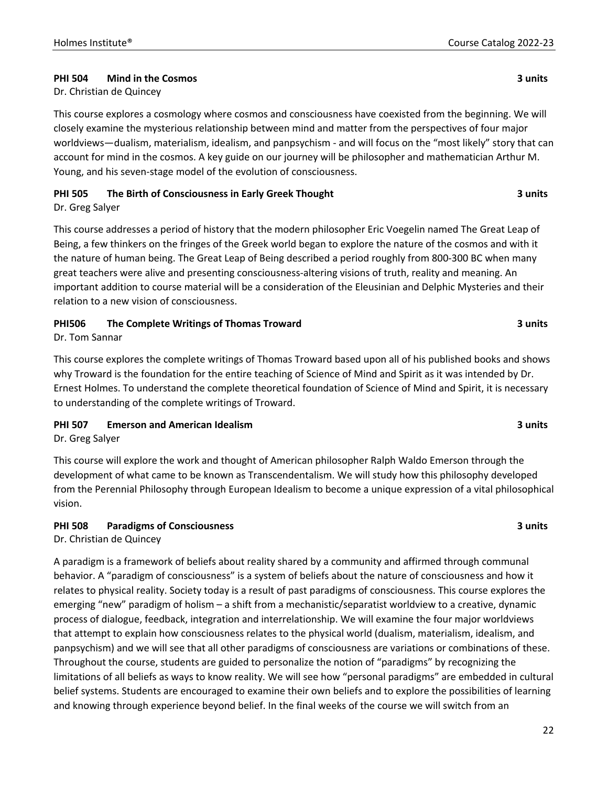#### **PHI 504 Mind in the Cosmos 3 units**

Dr. Christian de Quincey

This course explores a cosmology where cosmos and consciousness have coexisted from the beginning. We will closely examine the mysterious relationship between mind and matter from the perspectives of four major worldviews—dualism, materialism, idealism, and panpsychism - and will focus on the "most likely" story that can account for mind in the cosmos. A key guide on our journey will be philosopher and mathematician Arthur M. Young, and his seven-stage model of the evolution of consciousness.

### **PHI 505 The Birth of Consciousness in Early Greek Thought 3 units**

Dr. Greg Salyer

This course addresses a period of history that the modern philosopher Eric Voegelin named The Great Leap of Being, a few thinkers on the fringes of the Greek world began to explore the nature of the cosmos and with it the nature of human being. The Great Leap of Being described a period roughly from 800-300 BC when many great teachers were alive and presenting consciousness-altering visions of truth, reality and meaning. An important addition to course material will be a consideration of the Eleusinian and Delphic Mysteries and their relation to a new vision of consciousness.

### **PHI506 The Complete Writings of Thomas Troward 3 units**

Dr. Tom Sannar

This course explores the complete writings of Thomas Troward based upon all of his published books and shows why Troward is the foundation for the entire teaching of Science of Mind and Spirit as it was intended by Dr. Ernest Holmes. To understand the complete theoretical foundation of Science of Mind and Spirit, it is necessary to understanding of the complete writings of Troward.

**PHI 507 Emerson and American Idealism 3 units**

Dr. Greg Salyer

This course will explore the work and thought of American philosopher Ralph Waldo Emerson through the development of what came to be known as Transcendentalism. We will study how this philosophy developed from the Perennial Philosophy through European Idealism to become a unique expression of a vital philosophical vision.

#### **PHI 508 Paradigms of Consciousness 3 units**

Dr. Christian de Quincey

A paradigm is a framework of beliefs about reality shared by a community and affirmed through communal behavior. A "paradigm of consciousness" is a system of beliefs about the nature of consciousness and how it relates to physical reality. Society today is a result of past paradigms of consciousness. This course explores the emerging "new" paradigm of holism – a shift from a mechanistic/separatist worldview to a creative, dynamic process of dialogue, feedback, integration and interrelationship. We will examine the four major worldviews that attempt to explain how consciousness relates to the physical world (dualism, materialism, idealism, and panpsychism) and we will see that all other paradigms of consciousness are variations or combinations of these. Throughout the course, students are guided to personalize the notion of "paradigms" by recognizing the limitations of all beliefs as ways to know reality. We will see how "personal paradigms" are embedded in cultural belief systems. Students are encouraged to examine their own beliefs and to explore the possibilities of learning and knowing through experience beyond belief. In the final weeks of the course we will switch from an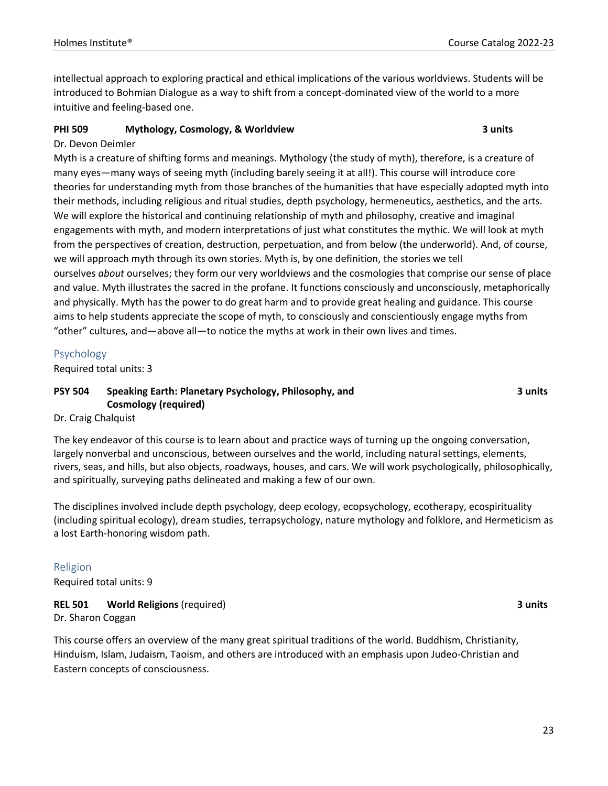intellectual approach to exploring practical and ethical implications of the various worldviews. Students will be introduced to Bohmian Dialogue as a way to shift from a concept-dominated view of the world to a more intuitive and feeling-based one.

#### **PHI 509 Mythology, Cosmology, & Worldview 3 units**

#### Dr. Devon Deimler

Myth is a creature of shifting forms and meanings. Mythology (the study of myth), therefore, is a creature of many eyes—many ways of seeing myth (including barely seeing it at all!). This course will introduce core theories for understanding myth from those branches of the humanities that have especially adopted myth into their methods, including religious and ritual studies, depth psychology, hermeneutics, aesthetics, and the arts. We will explore the historical and continuing relationship of myth and philosophy, creative and imaginal engagements with myth, and modern interpretations of just what constitutes the mythic. We will look at myth from the perspectives of creation, destruction, perpetuation, and from below (the underworld). And, of course, we will approach myth through its own stories. Myth is, by one definition, the stories we tell ourselves *about* ourselves; they form our very worldviews and the cosmologies that comprise our sense of place and value. Myth illustrates the sacred in the profane. It functions consciously and unconsciously, metaphorically and physically. Myth has the power to do great harm and to provide great healing and guidance. This course aims to help students appreciate the scope of myth, to consciously and conscientiously engage myths from "other" cultures, and—above all—to notice the myths at work in their own lives and times.

#### Psychology

Required total units: 3

#### **PSY 504 Speaking Earth: Planetary Psychology, Philosophy, and Cosmology (required)**

**3 units**

#### Dr. Craig Chalquist

The key endeavor of this course is to learn about and practice ways of turning up the ongoing conversation, largely nonverbal and unconscious, between ourselves and the world, including natural settings, elements, rivers, seas, and hills, but also objects, roadways, houses, and cars. We will work psychologically, philosophically, and spiritually, surveying paths delineated and making a few of our own.

The disciplines involved include depth psychology, deep ecology, ecopsychology, ecotherapy, ecospirituality (including spiritual ecology), dream studies, terrapsychology, nature mythology and folklore, and Hermeticism as a lost Earth-honoring wisdom path.

#### Religion

Required total units: 9

#### **REL 501 World Religions** (required) **3 units** Dr. Sharon Coggan

This course offers an overview of the many great spiritual traditions of the world. Buddhism, Christianity, Hinduism, Islam, Judaism, Taoism, and others are introduced with an emphasis upon Judeo-Christian and Eastern concepts of consciousness.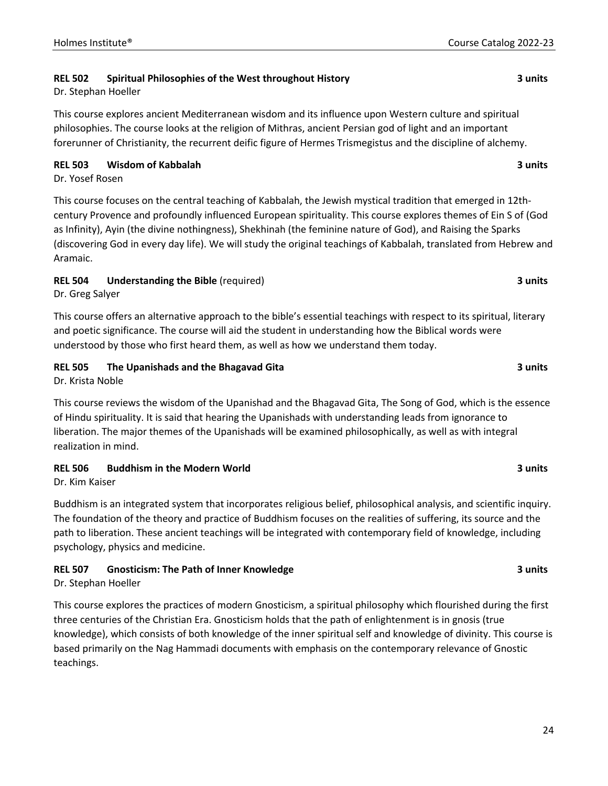#### **REL 502 Spiritual Philosophies of the West throughout History 3 units**

Dr. Stephan Hoeller

This course explores ancient Mediterranean wisdom and its influence upon Western culture and spiritual philosophies. The course looks at the religion of Mithras, ancient Persian god of light and an important forerunner of Christianity, the recurrent deific figure of Hermes Trismegistus and the discipline of alchemy.

#### **REL 503 Wisdom of Kabbalah 3 units**

Dr. Yosef Rosen

This course focuses on the central teaching of Kabbalah, the Jewish mystical tradition that emerged in 12thcentury Provence and profoundly influenced European spirituality. This course explores themes of Ein S of (God as Infinity), Ayin (the divine nothingness), Shekhinah (the feminine nature of God), and Raising the Sparks (discovering God in every day life). We will study the original teachings of Kabbalah, translated from Hebrew and Aramaic.

#### **REL 504 Understanding the Bible** (required) **3 units**

Dr. Greg Salyer

This course offers an alternative approach to the bible's essential teachings with respect to its spiritual, literary and poetic significance. The course will aid the student in understanding how the Biblical words were understood by those who first heard them, as well as how we understand them today.

#### **REL 505 The Upanishads and the Bhagavad Gita 3 units**

Dr. Krista Noble

This course reviews the wisdom of the Upanishad and the Bhagavad Gita, The Song of God, which is the essence of Hindu spirituality. It is said that hearing the Upanishads with understanding leads from ignorance to liberation. The major themes of the Upanishads will be examined philosophically, as well as with integral realization in mind.

#### **REL 506 Buddhism in the Modern World 3 units**

Dr. Kim Kaiser

Buddhism is an integrated system that incorporates religious belief, philosophical analysis, and scientific inquiry. The foundation of the theory and practice of Buddhism focuses on the realities of suffering, its source and the path to liberation. These ancient teachings will be integrated with contemporary field of knowledge, including psychology, physics and medicine.

### **REL 507 Gnosticism: The Path of Inner Knowledge 3 units**

Dr. Stephan Hoeller

This course explores the practices of modern Gnosticism, a spiritual philosophy which flourished during the first three centuries of the Christian Era. Gnosticism holds that the path of enlightenment is in gnosis (true knowledge), which consists of both knowledge of the inner spiritual self and knowledge of divinity. This course is based primarily on the Nag Hammadi documents with emphasis on the contemporary relevance of Gnostic teachings.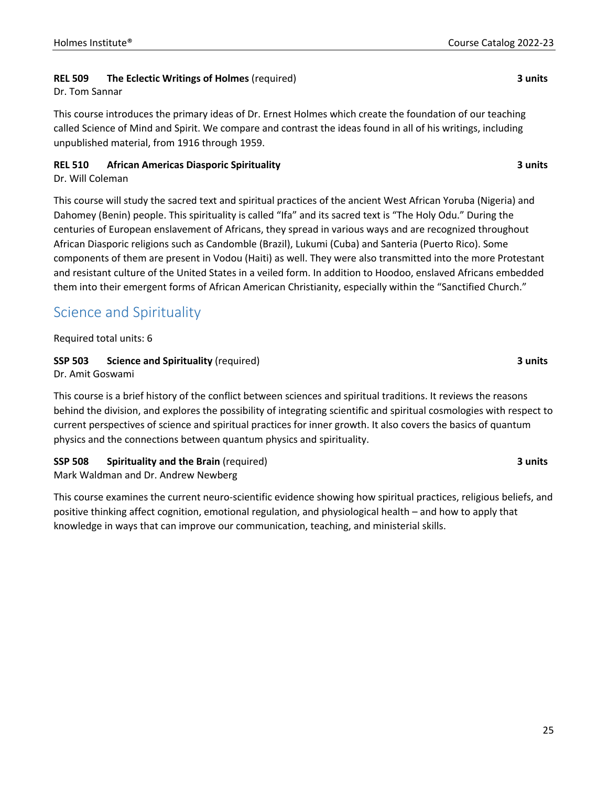#### **REL 509 The Eclectic Writings of Holmes** (required) **3 units**

Dr. Tom Sannar

This course introduces the primary ideas of Dr. Ernest Holmes which create the foundation of our teaching called Science of Mind and Spirit. We compare and contrast the ideas found in all of his writings, including unpublished material, from 1916 through 1959.

#### **REL 510 African Americas Diasporic Spirituality 3 units**

Dr. Will Coleman

This course will study the sacred text and spiritual practices of the ancient West African Yoruba (Nigeria) and Dahomey (Benin) people. This spirituality is called "Ifa" and its sacred text is "The Holy Odu." During the centuries of European enslavement of Africans, they spread in various ways and are recognized throughout African Diasporic religions such as Candomble (Brazil), Lukumi (Cuba) and Santeria (Puerto Rico). Some components of them are present in Vodou (Haiti) as well. They were also transmitted into the more Protestant and resistant culture of the United States in a veiled form. In addition to Hoodoo, enslaved Africans embedded them into their emergent forms of African American Christianity, especially within the "Sanctified Church."

## Science and Spirituality

Required total units: 6

#### **SSP 503 Science and Spirituality** (required) **3 units**

Dr. Amit Goswami

This course is a brief history of the conflict between sciences and spiritual traditions. It reviews the reasons behind the division, and explores the possibility of integrating scientific and spiritual cosmologies with respect to current perspectives of science and spiritual practices for inner growth. It also covers the basics of quantum physics and the connections between quantum physics and spirituality.

#### **SSP 508 Spirituality and the Brain** (required) **3 units**

Mark Waldman and Dr. Andrew Newberg

This course examines the current neuro-scientific evidence showing how spiritual practices, religious beliefs, and positive thinking affect cognition, emotional regulation, and physiological health – and how to apply that knowledge in ways that can improve our communication, teaching, and ministerial skills.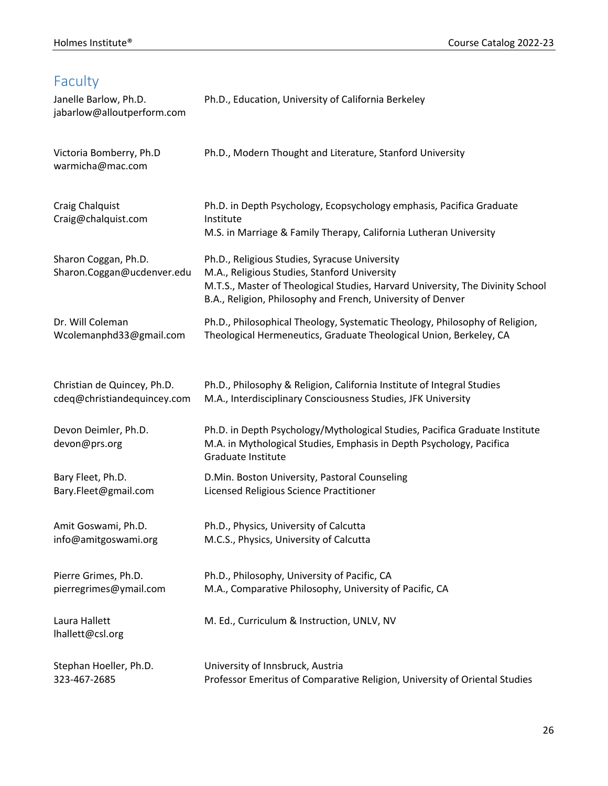## Faculty

| Janelle Barlow, Ph.D.<br>jabarlow@alloutperform.com | Ph.D., Education, University of California Berkeley                                                                                                                                                                                            |
|-----------------------------------------------------|------------------------------------------------------------------------------------------------------------------------------------------------------------------------------------------------------------------------------------------------|
| Victoria Bomberry, Ph.D<br>warmicha@mac.com         | Ph.D., Modern Thought and Literature, Stanford University                                                                                                                                                                                      |
| Craig Chalquist<br>Craig@chalquist.com              | Ph.D. in Depth Psychology, Ecopsychology emphasis, Pacifica Graduate<br>Institute<br>M.S. in Marriage & Family Therapy, California Lutheran University                                                                                         |
| Sharon Coggan, Ph.D.<br>Sharon.Coggan@ucdenver.edu  | Ph.D., Religious Studies, Syracuse University<br>M.A., Religious Studies, Stanford University<br>M.T.S., Master of Theological Studies, Harvard University, The Divinity School<br>B.A., Religion, Philosophy and French, University of Denver |
| Dr. Will Coleman                                    | Ph.D., Philosophical Theology, Systematic Theology, Philosophy of Religion,                                                                                                                                                                    |
| Wcolemanphd33@gmail.com                             | Theological Hermeneutics, Graduate Theological Union, Berkeley, CA                                                                                                                                                                             |
| Christian de Quincey, Ph.D.                         | Ph.D., Philosophy & Religion, California Institute of Integral Studies                                                                                                                                                                         |
| cdeq@christiandequincey.com                         | M.A., Interdisciplinary Consciousness Studies, JFK University                                                                                                                                                                                  |
| Devon Deimler, Ph.D.<br>devon@prs.org               | Ph.D. in Depth Psychology/Mythological Studies, Pacifica Graduate Institute<br>M.A. in Mythological Studies, Emphasis in Depth Psychology, Pacifica<br>Graduate Institute                                                                      |
| Bary Fleet, Ph.D.                                   | D.Min. Boston University, Pastoral Counseling                                                                                                                                                                                                  |
| Bary.Fleet@gmail.com                                | Licensed Religious Science Practitioner                                                                                                                                                                                                        |
| Amit Goswami, Ph.D.                                 | Ph.D., Physics, University of Calcutta                                                                                                                                                                                                         |
| info@amitgoswami.org                                | M.C.S., Physics, University of Calcutta                                                                                                                                                                                                        |
| Pierre Grimes, Ph.D.                                | Ph.D., Philosophy, University of Pacific, CA                                                                                                                                                                                                   |
| pierregrimes@ymail.com                              | M.A., Comparative Philosophy, University of Pacific, CA                                                                                                                                                                                        |
| Laura Hallett<br>Ihallett@csl.org                   | M. Ed., Curriculum & Instruction, UNLV, NV                                                                                                                                                                                                     |
| Stephan Hoeller, Ph.D.                              | University of Innsbruck, Austria                                                                                                                                                                                                               |
| 323-467-2685                                        | Professor Emeritus of Comparative Religion, University of Oriental Studies                                                                                                                                                                     |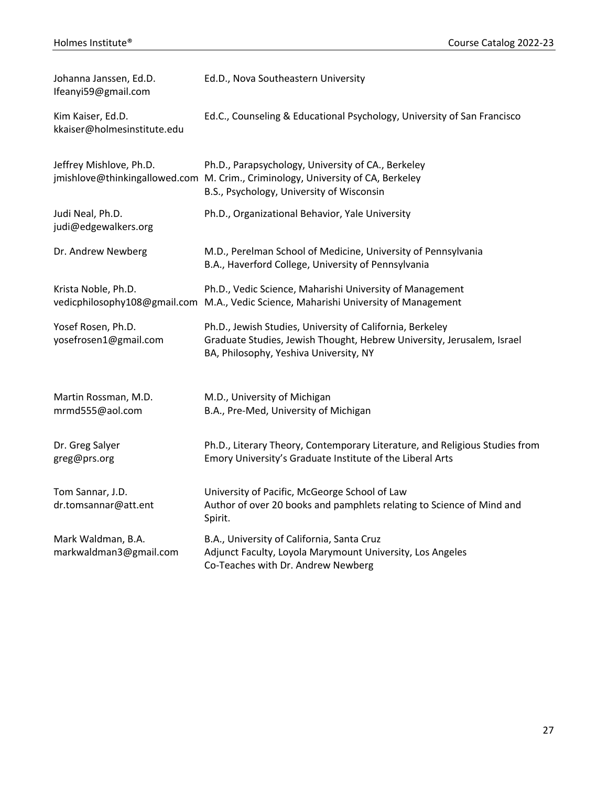| Johanna Janssen, Ed.D.<br>Ifeanyi59@gmail.com    | Ed.D., Nova Southeastern University                                                                                                                                                |
|--------------------------------------------------|------------------------------------------------------------------------------------------------------------------------------------------------------------------------------------|
| Kim Kaiser, Ed.D.<br>kkaiser@holmesinstitute.edu | Ed.C., Counseling & Educational Psychology, University of San Francisco                                                                                                            |
| Jeffrey Mishlove, Ph.D.                          | Ph.D., Parapsychology, University of CA., Berkeley<br>jmishlove@thinkingallowed.com M. Crim., Criminology, University of CA, Berkeley<br>B.S., Psychology, University of Wisconsin |
| Judi Neal, Ph.D.<br>judi@edgewalkers.org         | Ph.D., Organizational Behavior, Yale University                                                                                                                                    |
| Dr. Andrew Newberg                               | M.D., Perelman School of Medicine, University of Pennsylvania<br>B.A., Haverford College, University of Pennsylvania                                                               |
| Krista Noble, Ph.D.                              | Ph.D., Vedic Science, Maharishi University of Management<br>vedicphilosophy108@gmail.com M.A., Vedic Science, Maharishi University of Management                                   |
| Yosef Rosen, Ph.D.<br>yosefrosen1@gmail.com      | Ph.D., Jewish Studies, University of California, Berkeley<br>Graduate Studies, Jewish Thought, Hebrew University, Jerusalem, Israel<br>BA, Philosophy, Yeshiva University, NY      |
| Martin Rossman, M.D.<br>mrmd555@aol.com          | M.D., University of Michigan<br>B.A., Pre-Med, University of Michigan                                                                                                              |
| Dr. Greg Salyer<br>greg@prs.org                  | Ph.D., Literary Theory, Contemporary Literature, and Religious Studies from<br>Emory University's Graduate Institute of the Liberal Arts                                           |
| Tom Sannar, J.D.<br>dr.tomsannar@att.ent         | University of Pacific, McGeorge School of Law<br>Author of over 20 books and pamphlets relating to Science of Mind and<br>Spirit.                                                  |
| Mark Waldman, B.A.<br>markwaldman3@gmail.com     | B.A., University of California, Santa Cruz<br>Adjunct Faculty, Loyola Marymount University, Los Angeles<br>Co-Teaches with Dr. Andrew Newberg                                      |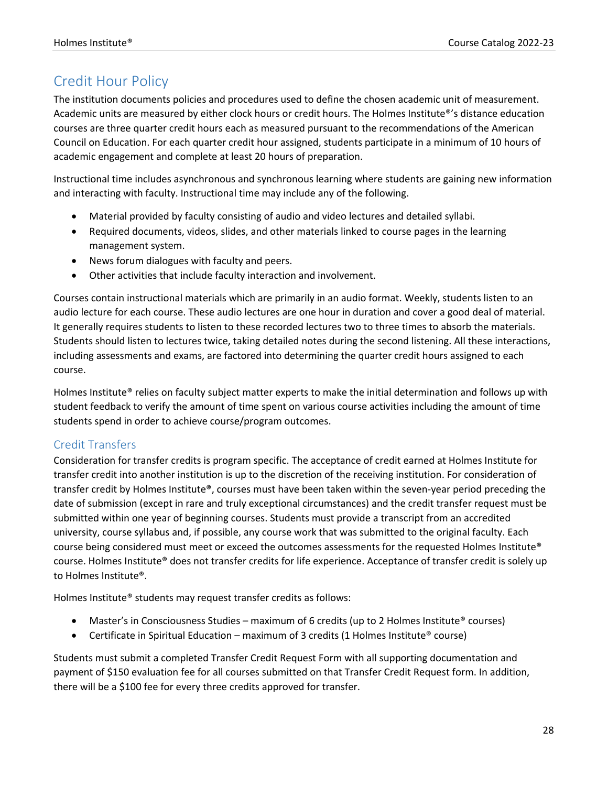## Credit Hour Policy

The institution documents policies and procedures used to define the chosen academic unit of measurement. Academic units are measured by either clock hours or credit hours. The Holmes Institute®'s distance education courses are three quarter credit hours each as measured pursuant to the recommendations of the American Council on Education. For each quarter credit hour assigned, students participate in a minimum of 10 hours of academic engagement and complete at least 20 hours of preparation.

Instructional time includes asynchronous and synchronous learning where students are gaining new information and interacting with faculty. Instructional time may include any of the following.

- Material provided by faculty consisting of audio and video lectures and detailed syllabi.
- Required documents, videos, slides, and other materials linked to course pages in the learning management system.
- News forum dialogues with faculty and peers.
- Other activities that include faculty interaction and involvement.

Courses contain instructional materials which are primarily in an audio format. Weekly, students listen to an audio lecture for each course. These audio lectures are one hour in duration and cover a good deal of material. It generally requires students to listen to these recorded lectures two to three times to absorb the materials. Students should listen to lectures twice, taking detailed notes during the second listening. All these interactions, including assessments and exams, are factored into determining the quarter credit hours assigned to each course.

Holmes Institute® relies on faculty subject matter experts to make the initial determination and follows up with student feedback to verify the amount of time spent on various course activities including the amount of time students spend in order to achieve course/program outcomes.

### Credit Transfers

Consideration for transfer credits is program specific. The acceptance of credit earned at Holmes Institute for transfer credit into another institution is up to the discretion of the receiving institution. For consideration of transfer credit by Holmes Institute®, courses must have been taken within the seven-year period preceding the date of submission (except in rare and truly exceptional circumstances) and the credit transfer request must be submitted within one year of beginning courses. Students must provide a transcript from an accredited university, course syllabus and, if possible, any course work that was submitted to the original faculty. Each course being considered must meet or exceed the outcomes assessments for the requested Holmes Institute® course. Holmes Institute® does not transfer credits for life experience. Acceptance of transfer credit is solely up to Holmes Institute®.

Holmes Institute® students may request transfer credits as follows:

- Master's in Consciousness Studies maximum of 6 credits (up to 2 Holmes Institute® courses)
- Certificate in Spiritual Education maximum of 3 credits (1 Holmes Institute<sup>®</sup> course)

Students must submit a completed Transfer Credit Request Form with all supporting documentation and payment of \$150 evaluation fee for all courses submitted on that Transfer Credit Request form. In addition, there will be a \$100 fee for every three credits approved for transfer.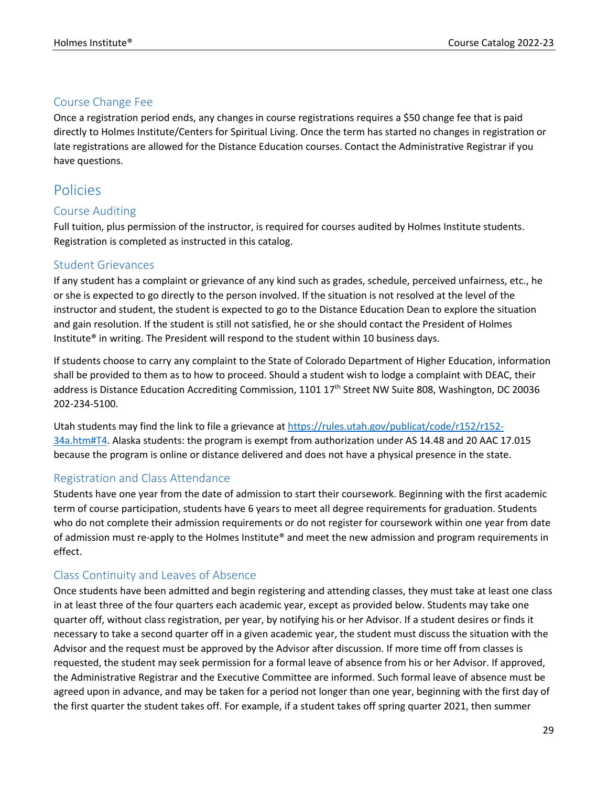#### Course Change Fee

Once a registration period ends, any changes in course registrations requires a \$50 change fee that is paid directly to Holmes Institute/Centers for Spiritual Living. Once the term has started no changes in registration or late registrations are allowed for the Distance Education courses. Contact the Administrative Registrar if you have questions.

## Policies

#### Course Auditing

Full tuition, plus permission of the instructor, is required for courses audited by Holmes Institute students. Registration is completed as instructed in this catalog.

#### Student Grievances

If any student has a complaint or grievance of any kind such as grades, schedule, perceived unfairness, etc., he or she is expected to go directly to the person involved. If the situation is not resolved at the level of the instructor and student, the student is expected to go to the Distance Education Dean to explore the situation and gain resolution. If the student is still not satisfied, he or she should contact the President of Holmes Institute® in writing. The President will respond to the student within 10 business days.

If students choose to carry any complaint to the State of Colorado Department of Higher Education, information shall be provided to them as to how to proceed. Should a student wish to lodge a complaint with DEAC, their address is Distance Education Accrediting Commission, 1101 17<sup>th</sup> Street NW Suite 808, Washington, DC 20036 202-234-5100.

Utah students may find the link to file a grievance at https://rules.utah.gov/publicat/code/r152/r152- 34a.htm#T4. Alaska students: the program is exempt from authorization under AS 14.48 and 20 AAC 17.015 because the program is online or distance delivered and does not have a physical presence in the state.

#### Registration and Class Attendance

Students have one year from the date of admission to start their coursework. Beginning with the first academic term of course participation, students have 6 years to meet all degree requirements for graduation. Students who do not complete their admission requirements or do not register for coursework within one year from date of admission must re-apply to the Holmes Institute® and meet the new admission and program requirements in effect.

#### Class Continuity and Leaves of Absence

Once students have been admitted and begin registering and attending classes, they must take at least one class in at least three of the four quarters each academic year, except as provided below. Students may take one quarter off, without class registration, per year, by notifying his or her Advisor. If a student desires or finds it necessary to take a second quarter off in a given academic year, the student must discuss the situation with the Advisor and the request must be approved by the Advisor after discussion. If more time off from classes is requested, the student may seek permission for a formal leave of absence from his or her Advisor. If approved, the Administrative Registrar and the Executive Committee are informed. Such formal leave of absence must be agreed upon in advance, and may be taken for a period not longer than one year, beginning with the first day of the first quarter the student takes off. For example, if a student takes off spring quarter 2021, then summer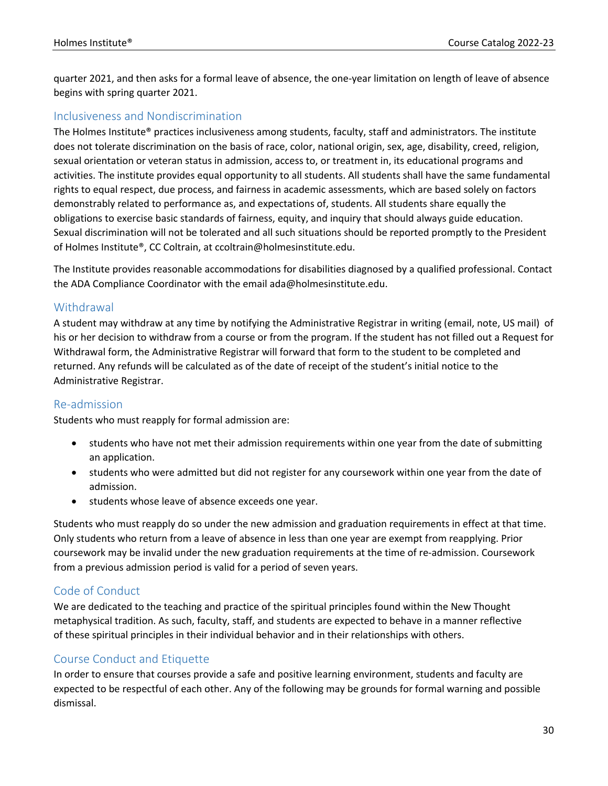quarter 2021, and then asks for a formal leave of absence, the one-year limitation on length of leave of absence begins with spring quarter 2021.

#### Inclusiveness and Nondiscrimination

The Holmes Institute® practices inclusiveness among students, faculty, staff and administrators. The institute does not tolerate discrimination on the basis of race, color, national origin, sex, age, disability, creed, religion, sexual orientation or veteran status in admission, access to, or treatment in, its educational programs and activities. The institute provides equal opportunity to all students. All students shall have the same fundamental rights to equal respect, due process, and fairness in academic assessments, which are based solely on factors demonstrably related to performance as, and expectations of, students. All students share equally the obligations to exercise basic standards of fairness, equity, and inquiry that should always guide education. Sexual discrimination will not be tolerated and all such situations should be reported promptly to the President of Holmes Institute®, CC Coltrain, at ccoltrain@holmesinstitute.edu.

The Institute provides reasonable accommodations for disabilities diagnosed by a qualified professional. Contact the ADA Compliance Coordinator with the email ada@holmesinstitute.edu.

#### **Withdrawal**

A student may withdraw at any time by notifying the Administrative Registrar in writing (email, note, US mail) of his or her decision to withdraw from a course or from the program. If the student has not filled out a Request for Withdrawal form, the Administrative Registrar will forward that form to the student to be completed and returned. Any refunds will be calculated as of the date of receipt of the student's initial notice to the Administrative Registrar.

#### Re-admission

Students who must reapply for formal admission are:

- students who have not met their admission requirements within one year from the date of submitting an application.
- students who were admitted but did not register for any coursework within one year from the date of admission.
- students whose leave of absence exceeds one year.

Students who must reapply do so under the new admission and graduation requirements in effect at that time. Only students who return from a leave of absence in less than one year are exempt from reapplying. Prior coursework may be invalid under the new graduation requirements at the time of re-admission. Coursework from a previous admission period is valid for a period of seven years.

#### Code of Conduct

We are dedicated to the teaching and practice of the spiritual principles found within the New Thought metaphysical tradition. As such, faculty, staff, and students are expected to behave in a manner reflective of these spiritual principles in their individual behavior and in their relationships with others.

#### Course Conduct and Etiquette

In order to ensure that courses provide a safe and positive learning environment, students and faculty are expected to be respectful of each other. Any of the following may be grounds for formal warning and possible dismissal.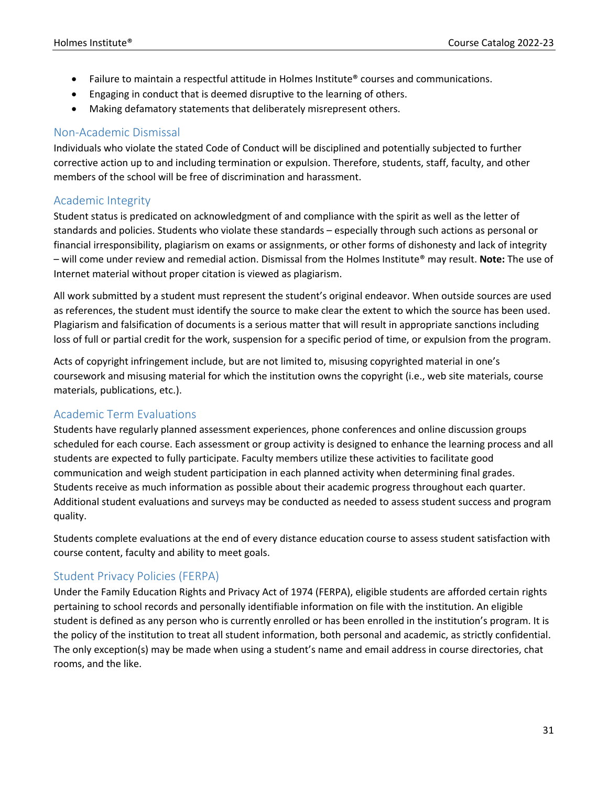- Failure to maintain a respectful attitude in Holmes Institute® courses and communications.
- Engaging in conduct that is deemed disruptive to the learning of others.
- Making defamatory statements that deliberately misrepresent others.

#### Non-Academic Dismissal

Individuals who violate the stated Code of Conduct will be disciplined and potentially subjected to further corrective action up to and including termination or expulsion. Therefore, students, staff, faculty, and other members of the school will be free of discrimination and harassment.

#### Academic Integrity

Student status is predicated on acknowledgment of and compliance with the spirit as well as the letter of standards and policies. Students who violate these standards – especially through such actions as personal or financial irresponsibility, plagiarism on exams or assignments, or other forms of dishonesty and lack of integrity – will come under review and remedial action. Dismissal from the Holmes Institute® may result. **Note:** The use of Internet material without proper citation is viewed as plagiarism.

All work submitted by a student must represent the student's original endeavor. When outside sources are used as references, the student must identify the source to make clear the extent to which the source has been used. Plagiarism and falsification of documents is a serious matter that will result in appropriate sanctions including loss of full or partial credit for the work, suspension for a specific period of time, or expulsion from the program.

Acts of copyright infringement include, but are not limited to, misusing copyrighted material in one's coursework and misusing material for which the institution owns the copyright (i.e., web site materials, course materials, publications, etc.).

#### Academic Term Evaluations

Students have regularly planned assessment experiences, phone conferences and online discussion groups scheduled for each course. Each assessment or group activity is designed to enhance the learning process and all students are expected to fully participate. Faculty members utilize these activities to facilitate good communication and weigh student participation in each planned activity when determining final grades. Students receive as much information as possible about their academic progress throughout each quarter. Additional student evaluations and surveys may be conducted as needed to assess student success and program quality.

Students complete evaluations at the end of every distance education course to assess student satisfaction with course content, faculty and ability to meet goals.

#### Student Privacy Policies (FERPA)

Under the Family Education Rights and Privacy Act of 1974 (FERPA), eligible students are afforded certain rights pertaining to school records and personally identifiable information on file with the institution. An eligible student is defined as any person who is currently enrolled or has been enrolled in the institution's program. It is the policy of the institution to treat all student information, both personal and academic, as strictly confidential. The only exception(s) may be made when using a student's name and email address in course directories, chat rooms, and the like.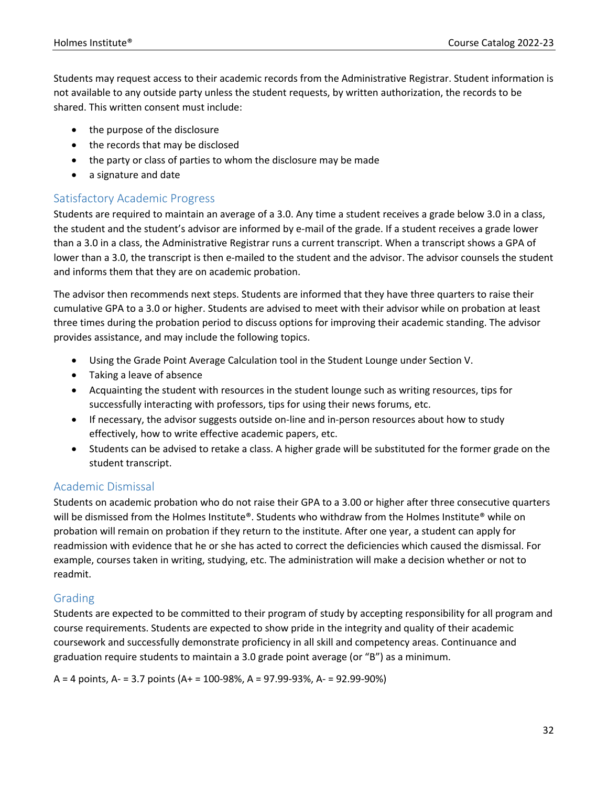Students may request access to their academic records from the Administrative Registrar. Student information is not available to any outside party unless the student requests, by written authorization, the records to be shared. This written consent must include:

- the purpose of the disclosure
- the records that may be disclosed
- the party or class of parties to whom the disclosure may be made
- a signature and date

#### Satisfactory Academic Progress

Students are required to maintain an average of a 3.0. Any time a student receives a grade below 3.0 in a class, the student and the student's advisor are informed by e-mail of the grade. If a student receives a grade lower than a 3.0 in a class, the Administrative Registrar runs a current transcript. When a transcript shows a GPA of lower than a 3.0, the transcript is then e-mailed to the student and the advisor. The advisor counsels the student and informs them that they are on academic probation.

The advisor then recommends next steps. Students are informed that they have three quarters to raise their cumulative GPA to a 3.0 or higher. Students are advised to meet with their advisor while on probation at least three times during the probation period to discuss options for improving their academic standing. The advisor provides assistance, and may include the following topics.

- Using the Grade Point Average Calculation tool in the Student Lounge under Section V.
- Taking a leave of absence
- Acquainting the student with resources in the student lounge such as writing resources, tips for successfully interacting with professors, tips for using their news forums, etc.
- If necessary, the advisor suggests outside on-line and in-person resources about how to study effectively, how to write effective academic papers, etc.
- Students can be advised to retake a class. A higher grade will be substituted for the former grade on the student transcript.

#### Academic Dismissal

Students on academic probation who do not raise their GPA to a 3.00 or higher after three consecutive quarters will be dismissed from the Holmes Institute®. Students who withdraw from the Holmes Institute® while on probation will remain on probation if they return to the institute. After one year, a student can apply for readmission with evidence that he or she has acted to correct the deficiencies which caused the dismissal. For example, courses taken in writing, studying, etc. The administration will make a decision whether or not to readmit.

### Grading

Students are expected to be committed to their program of study by accepting responsibility for all program and course requirements. Students are expected to show pride in the integrity and quality of their academic coursework and successfully demonstrate proficiency in all skill and competency areas. Continuance and graduation require students to maintain a 3.0 grade point average (or "B") as a minimum.

A = 4 points, A- = 3.7 points (A+ = 100-98%, A = 97.99-93%, A- = 92.99-90%)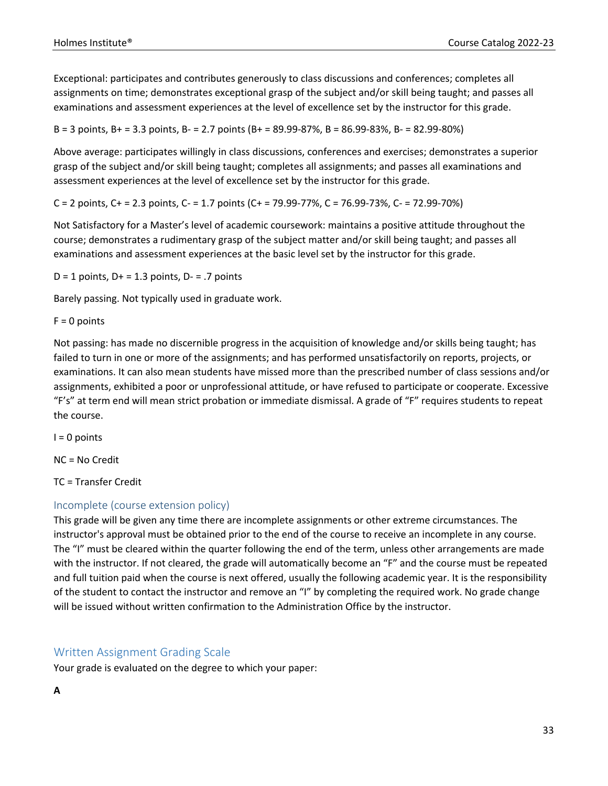Exceptional: participates and contributes generously to class discussions and conferences; completes all assignments on time; demonstrates exceptional grasp of the subject and/or skill being taught; and passes all examinations and assessment experiences at the level of excellence set by the instructor for this grade.

B = 3 points, B+ = 3.3 points, B- = 2.7 points (B+ = 89.99-87%, B = 86.99-83%, B- = 82.99-80%)

Above average: participates willingly in class discussions, conferences and exercises; demonstrates a superior grasp of the subject and/or skill being taught; completes all assignments; and passes all examinations and assessment experiences at the level of excellence set by the instructor for this grade.

C = 2 points, C+ = 2.3 points, C- = 1.7 points (C+ = 79.99-77%, C = 76.99-73%, C- = 72.99-70%)

Not Satisfactory for a Master's level of academic coursework: maintains a positive attitude throughout the course; demonstrates a rudimentary grasp of the subject matter and/or skill being taught; and passes all examinations and assessment experiences at the basic level set by the instructor for this grade.

 $D = 1$  points,  $D + = 1.3$  points,  $D - = 0.7$  points

Barely passing. Not typically used in graduate work.

 $F = 0$  points

Not passing: has made no discernible progress in the acquisition of knowledge and/or skills being taught; has failed to turn in one or more of the assignments; and has performed unsatisfactorily on reports, projects, or examinations. It can also mean students have missed more than the prescribed number of class sessions and/or assignments, exhibited a poor or unprofessional attitude, or have refused to participate or cooperate. Excessive "F's" at term end will mean strict probation or immediate dismissal. A grade of "F" requires students to repeat the course.

 $I = 0$  points

NC = No Credit

TC = Transfer Credit

#### Incomplete (course extension policy)

This grade will be given any time there are incomplete assignments or other extreme circumstances. The instructor's approval must be obtained prior to the end of the course to receive an incomplete in any course. The "I" must be cleared within the quarter following the end of the term, unless other arrangements are made with the instructor. If not cleared, the grade will automatically become an "F" and the course must be repeated and full tuition paid when the course is next offered, usually the following academic year. It is the responsibility of the student to contact the instructor and remove an "I" by completing the required work. No grade change will be issued without written confirmation to the Administration Office by the instructor.

#### Written Assignment Grading Scale

Your grade is evaluated on the degree to which your paper: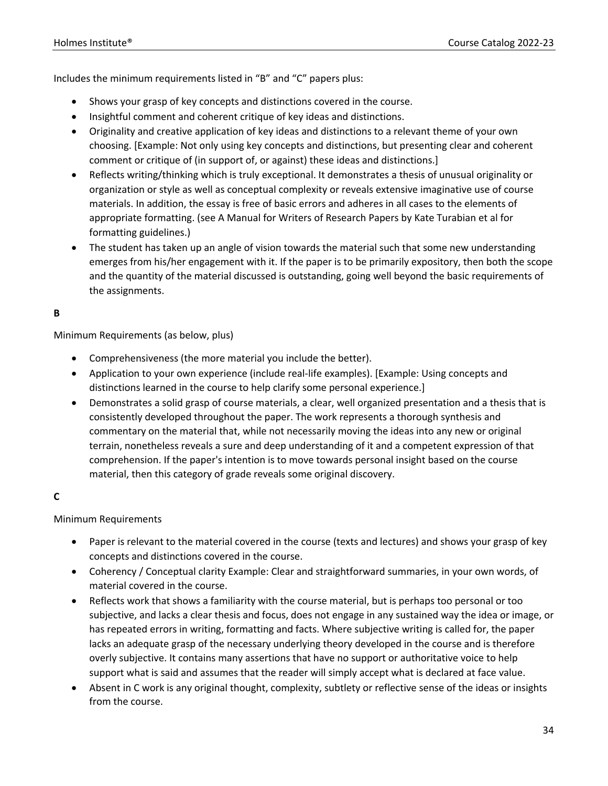Includes the minimum requirements listed in "B" and "C" papers plus:

- Shows your grasp of key concepts and distinctions covered in the course.
- Insightful comment and coherent critique of key ideas and distinctions.
- Originality and creative application of key ideas and distinctions to a relevant theme of your own choosing. [Example: Not only using key concepts and distinctions, but presenting clear and coherent comment or critique of (in support of, or against) these ideas and distinctions.]
- Reflects writing/thinking which is truly exceptional. It demonstrates a thesis of unusual originality or organization or style as well as conceptual complexity or reveals extensive imaginative use of course materials. In addition, the essay is free of basic errors and adheres in all cases to the elements of appropriate formatting. (see A Manual for Writers of Research Papers by Kate Turabian et al for formatting guidelines.)
- The student has taken up an angle of vision towards the material such that some new understanding emerges from his/her engagement with it. If the paper is to be primarily expository, then both the scope and the quantity of the material discussed is outstanding, going well beyond the basic requirements of the assignments.

#### **B**

Minimum Requirements (as below, plus)

- Comprehensiveness (the more material you include the better).
- Application to your own experience (include real-life examples). [Example: Using concepts and distinctions learned in the course to help clarify some personal experience.]
- Demonstrates a solid grasp of course materials, a clear, well organized presentation and a thesis that is consistently developed throughout the paper. The work represents a thorough synthesis and commentary on the material that, while not necessarily moving the ideas into any new or original terrain, nonetheless reveals a sure and deep understanding of it and a competent expression of that comprehension. If the paper's intention is to move towards personal insight based on the course material, then this category of grade reveals some original discovery.

#### **C**

#### Minimum Requirements

- Paper is relevant to the material covered in the course (texts and lectures) and shows your grasp of key concepts and distinctions covered in the course.
- Coherency / Conceptual clarity Example: Clear and straightforward summaries, in your own words, of material covered in the course.
- Reflects work that shows a familiarity with the course material, but is perhaps too personal or too subjective, and lacks a clear thesis and focus, does not engage in any sustained way the idea or image, or has repeated errors in writing, formatting and facts. Where subjective writing is called for, the paper lacks an adequate grasp of the necessary underlying theory developed in the course and is therefore overly subjective. It contains many assertions that have no support or authoritative voice to help support what is said and assumes that the reader will simply accept what is declared at face value.
- Absent in C work is any original thought, complexity, subtlety or reflective sense of the ideas or insights from the course.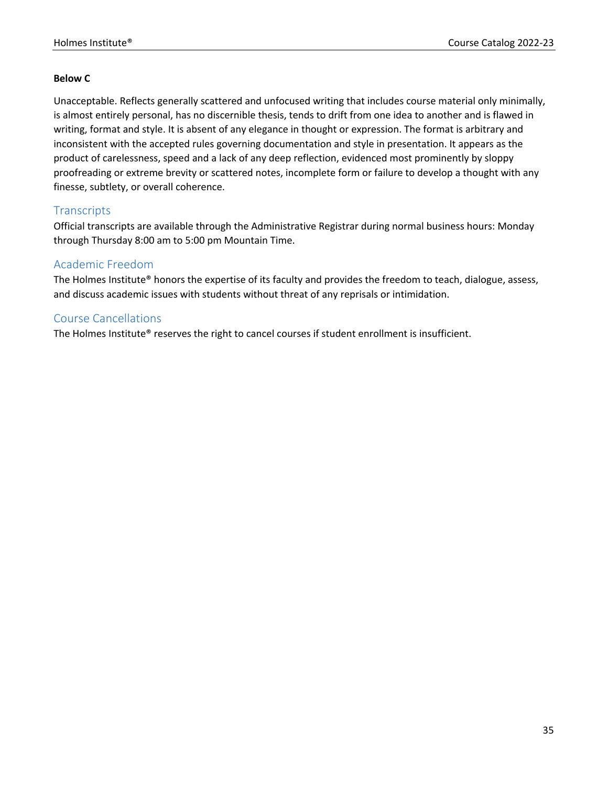#### **Below C**

Unacceptable. Reflects generally scattered and unfocused writing that includes course material only minimally, is almost entirely personal, has no discernible thesis, tends to drift from one idea to another and is flawed in writing, format and style. It is absent of any elegance in thought or expression. The format is arbitrary and inconsistent with the accepted rules governing documentation and style in presentation. It appears as the product of carelessness, speed and a lack of any deep reflection, evidenced most prominently by sloppy proofreading or extreme brevity or scattered notes, incomplete form or failure to develop a thought with any finesse, subtlety, or overall coherence.

#### **Transcripts**

Official transcripts are available through the Administrative Registrar during normal business hours: Monday through Thursday 8:00 am to 5:00 pm Mountain Time.

#### Academic Freedom

The Holmes Institute® honors the expertise of its faculty and provides the freedom to teach, dialogue, assess, and discuss academic issues with students without threat of any reprisals or intimidation.

#### Course Cancellations

The Holmes Institute® reserves the right to cancel courses if student enrollment is insufficient.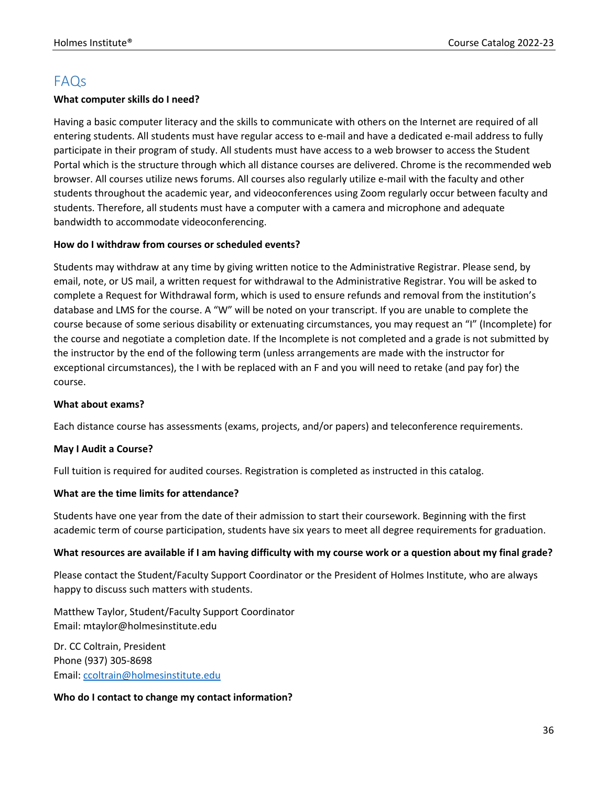## FAQs

#### **What computer skills do I need?**

Having a basic computer literacy and the skills to communicate with others on the Internet are required of all entering students. All students must have regular access to e-mail and have a dedicated e-mail address to fully participate in their program of study. All students must have access to a web browser to access the Student Portal which is the structure through which all distance courses are delivered. Chrome is the recommended web browser. All courses utilize news forums. All courses also regularly utilize e-mail with the faculty and other students throughout the academic year, and videoconferences using Zoom regularly occur between faculty and students. Therefore, all students must have a computer with a camera and microphone and adequate bandwidth to accommodate videoconferencing.

#### **How do I withdraw from courses or scheduled events?**

Students may withdraw at any time by giving written notice to the Administrative Registrar. Please send, by email, note, or US mail, a written request for withdrawal to the Administrative Registrar. You will be asked to complete a Request for Withdrawal form, which is used to ensure refunds and removal from the institution's database and LMS for the course. A "W" will be noted on your transcript. If you are unable to complete the course because of some serious disability or extenuating circumstances, you may request an "I" (Incomplete) for the course and negotiate a completion date. If the Incomplete is not completed and a grade is not submitted by the instructor by the end of the following term (unless arrangements are made with the instructor for exceptional circumstances), the I with be replaced with an F and you will need to retake (and pay for) the course.

#### **What about exams?**

Each distance course has assessments (exams, projects, and/or papers) and teleconference requirements.

#### **May I Audit a Course?**

Full tuition is required for audited courses. Registration is completed as instructed in this catalog.

#### **What are the time limits for attendance?**

Students have one year from the date of their admission to start their coursework. Beginning with the first academic term of course participation, students have six years to meet all degree requirements for graduation.

#### **What resources are available if I am having difficulty with my course work or a question about my final grade?**

Please contact the Student/Faculty Support Coordinator or the President of Holmes Institute, who are always happy to discuss such matters with students.

Matthew Taylor, Student/Faculty Support Coordinator Email: mtaylor@holmesinstitute.edu

Dr. CC Coltrain, President Phone (937) 305-8698 Email: ccoltrain@holmesinstitute.edu

#### **Who do I contact to change my contact information?**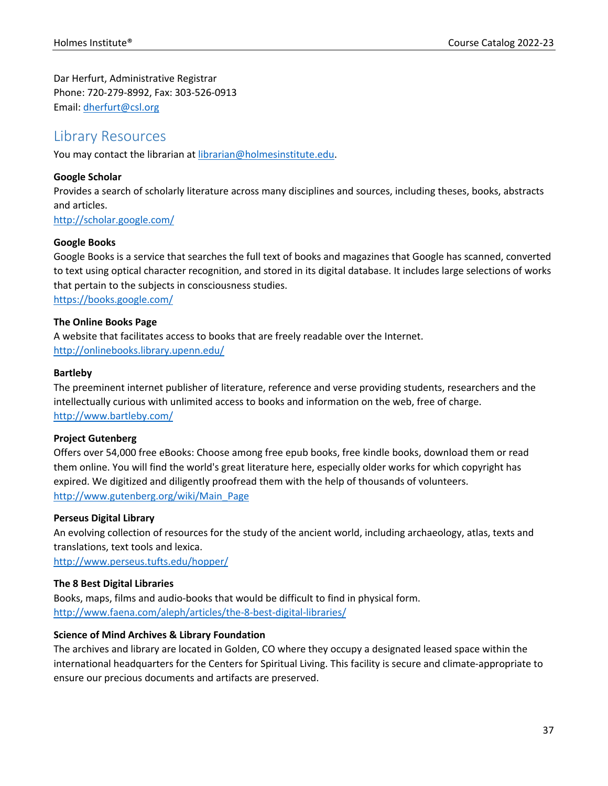Dar Herfurt, Administrative Registrar Phone: 720-279-8992, Fax: 303-526-0913 Email: dherfurt@csl.org

## Library Resources

You may contact the librarian at librarian@holmesinstitute.edu.

#### **Google Scholar**

Provides a search of scholarly literature across many disciplines and sources, including theses, books, abstracts and articles.

http://scholar.google.com/

#### **Google Books**

Google Books is a service that searches the full text of books and magazines that Google has scanned, converted to text using optical character recognition, and stored in its digital database. It includes large selections of works that pertain to the subjects in consciousness studies. https://books.google.com/

#### **The Online Books Page**

A website that facilitates access to books that are freely readable over the Internet. http://onlinebooks.library.upenn.edu/

#### **Bartleby**

The preeminent internet publisher of literature, reference and verse providing students, researchers and the intellectually curious with unlimited access to books and information on the web, free of charge. http://www.bartleby.com/

#### **Project Gutenberg**

Offers over 54,000 free eBooks: Choose among free epub books, free kindle books, download them or read them online. You will find the world's great literature here, especially older works for which copyright has expired. We digitized and diligently proofread them with the help of thousands of volunteers. http://www.gutenberg.org/wiki/Main\_Page

#### **Perseus Digital Library**

An evolving collection of resources for the study of the ancient world, including archaeology, atlas, texts and translations, text tools and lexica.

http://www.perseus.tufts.edu/hopper/

#### **The 8 Best Digital Libraries**

Books, maps, films and audio-books that would be difficult to find in physical form. http://www.faena.com/aleph/articles/the-8-best-digital-libraries/

#### **Science of Mind Archives & Library Foundation**

The archives and library are located in Golden, CO where they occupy a designated leased space within the international headquarters for the Centers for Spiritual Living. This facility is secure and climate-appropriate to ensure our precious documents and artifacts are preserved.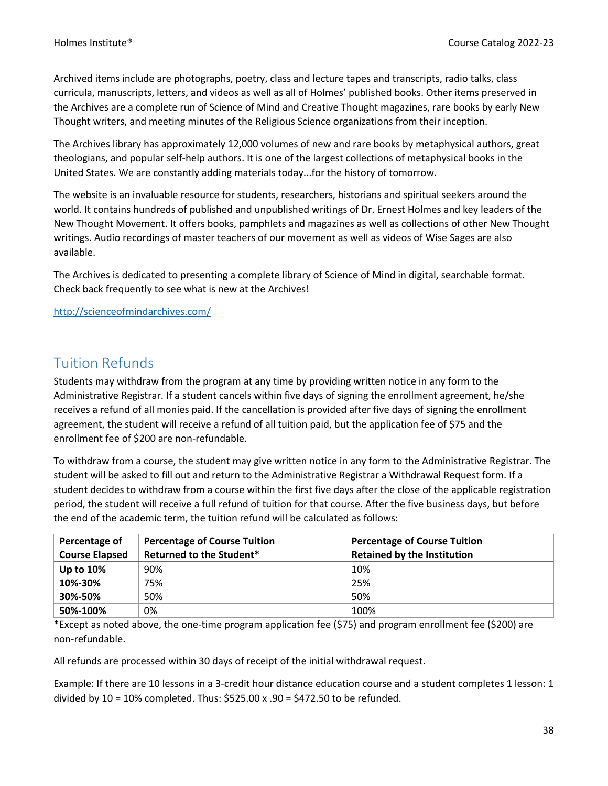Archived items include are photographs, poetry, class and lecture tapes and transcripts, radio talks, class curricula, manuscripts, letters, and videos as well as all of Holmes' published books. Other items preserved in the Archives are a complete run of Science of Mind and Creative Thought magazines, rare books by early New Thought writers, and meeting minutes of the Religious Science organizations from their inception.

The Archives library has approximately 12,000 volumes of new and rare books by metaphysical authors, great theologians, and popular self-help authors. It is one of the largest collections of metaphysical books in the United States. We are constantly adding materials today...for the history of tomorrow.

The website is an invaluable resource for students, researchers, historians and spiritual seekers around the world. It contains hundreds of published and unpublished writings of Dr. Ernest Holmes and key leaders of the New Thought Movement. It offers books, pamphlets and magazines as well as collections of other New Thought writings. Audio recordings of master teachers of our movement as well as videos of Wise Sages are also available.

The Archives is dedicated to presenting a complete library of Science of Mind in digital, searchable format. Check back frequently to see what is new at the Archives!

#### http://scienceofmindarchives.com/

## Tuition Refunds

Students may withdraw from the program at any time by providing written notice in any form to the Administrative Registrar. If a student cancels within five days of signing the enrollment agreement, he/she receives a refund of all monies paid. If the cancellation is provided after five days of signing the enrollment agreement, the student will receive a refund of all tuition paid, but the application fee of \$75 and the enrollment fee of \$200 are non-refundable.

To withdraw from a course, the student may give written notice in any form to the Administrative Registrar. The student will be asked to fill out and return to the Administrative Registrar a Withdrawal Request form. If a student decides to withdraw from a course within the first five days after the close of the applicable registration period, the student will receive a full refund of tuition for that course. After the five business days, but before the end of the academic term, the tuition refund will be calculated as follows:

| Percentage of<br><b>Course Elapsed</b> | <b>Percentage of Course Tuition</b><br>Returned to the Student* | <b>Percentage of Course Tuition</b><br><b>Retained by the Institution</b> |
|----------------------------------------|-----------------------------------------------------------------|---------------------------------------------------------------------------|
| <b>Up to 10%</b>                       | 90%                                                             | 10%                                                                       |
| 10%-30%                                | 75%                                                             | 25%                                                                       |
| 30%-50%                                | 50%                                                             | 50%                                                                       |
| 50%-100%                               | 0%                                                              | 100%                                                                      |

\*Except as noted above, the one-time program application fee (\$75) and program enrollment fee (\$200) are non-refundable.

All refunds are processed within 30 days of receipt of the initial withdrawal request.

Example: If there are 10 lessons in a 3-credit hour distance education course and a student completes 1 lesson: 1 divided by 10 = 10% completed. Thus: \$525.00 x .90 = \$472.50 to be refunded.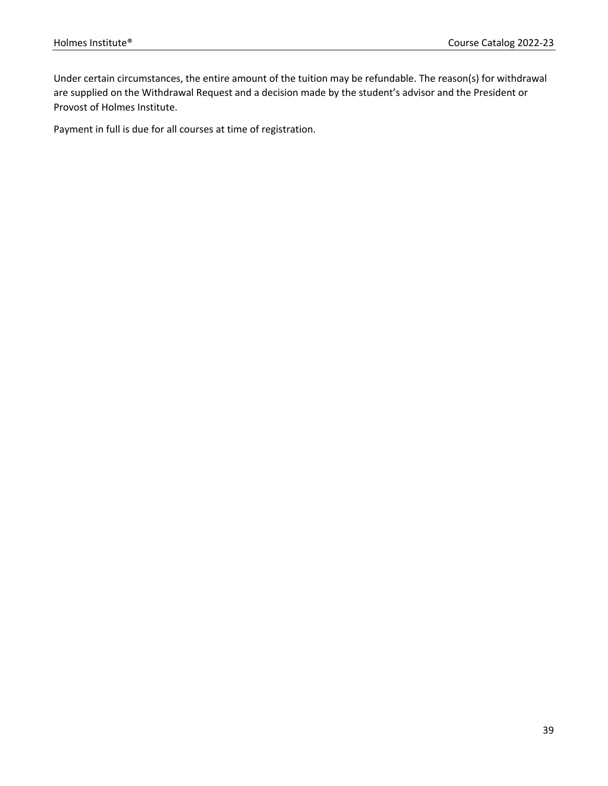Under certain circumstances, the entire amount of the tuition may be refundable. The reason(s) for withdrawal are supplied on the Withdrawal Request and a decision made by the student's advisor and the President or Provost of Holmes Institute.

Payment in full is due for all courses at time of registration.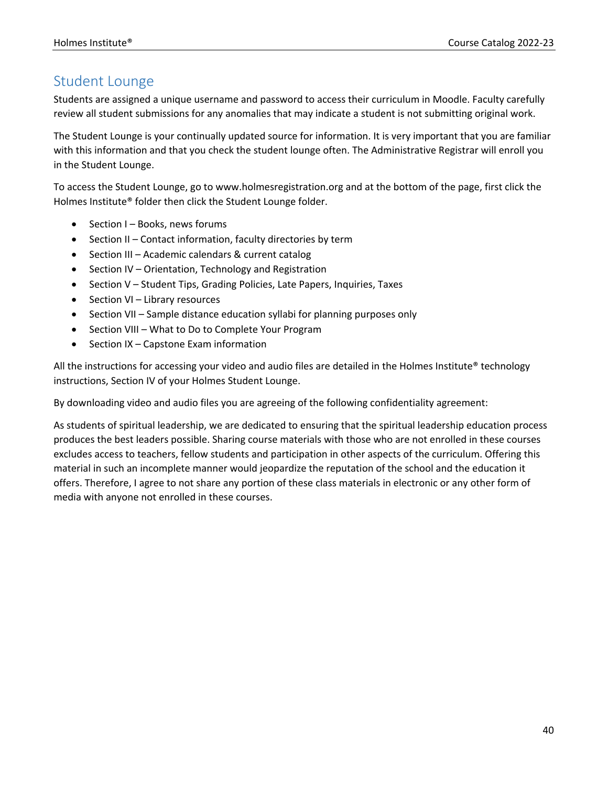## Student Lounge

Students are assigned a unique username and password to access their curriculum in Moodle. Faculty carefully review all student submissions for any anomalies that may indicate a student is not submitting original work.

The Student Lounge is your continually updated source for information. It is very important that you are familiar with this information and that you check the student lounge often. The Administrative Registrar will enroll you in the Student Lounge.

To access the Student Lounge, go to www.holmesregistration.org and at the bottom of the page, first click the Holmes Institute® folder then click the Student Lounge folder.

- Section I Books, news forums
- Section II Contact information, faculty directories by term
- Section III Academic calendars & current catalog
- Section IV Orientation, Technology and Registration
- Section V Student Tips, Grading Policies, Late Papers, Inquiries, Taxes
- Section VI Library resources
- Section VII Sample distance education syllabi for planning purposes only
- Section VIII What to Do to Complete Your Program
- Section IX Capstone Exam information

All the instructions for accessing your video and audio files are detailed in the Holmes Institute® technology instructions, Section IV of your Holmes Student Lounge.

By downloading video and audio files you are agreeing of the following confidentiality agreement:

As students of spiritual leadership, we are dedicated to ensuring that the spiritual leadership education process produces the best leaders possible. Sharing course materials with those who are not enrolled in these courses excludes access to teachers, fellow students and participation in other aspects of the curriculum. Offering this material in such an incomplete manner would jeopardize the reputation of the school and the education it offers. Therefore, I agree to not share any portion of these class materials in electronic or any other form of media with anyone not enrolled in these courses.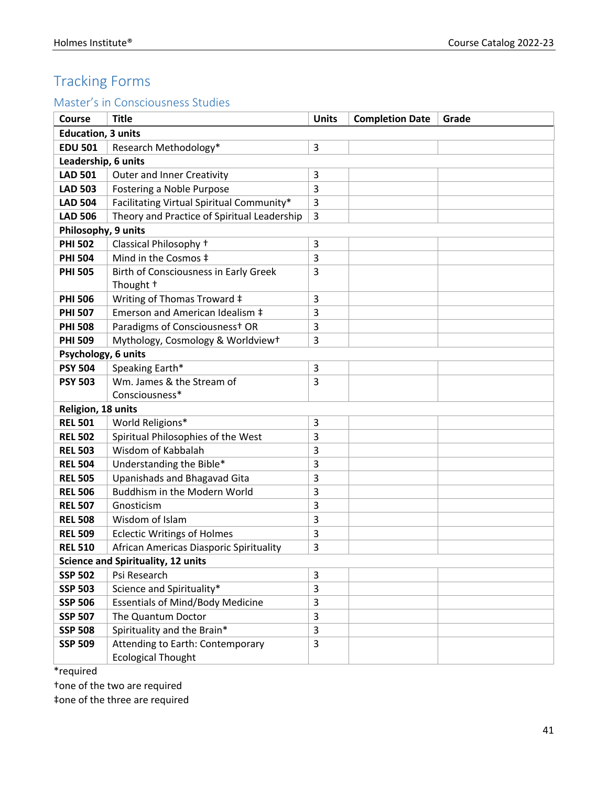## Tracking Forms

## Master's in Consciousness Studies

| <b>Course</b>                             | <b>Title</b>                                | <b>Units</b> | <b>Completion Date</b> | Grade |  |  |
|-------------------------------------------|---------------------------------------------|--------------|------------------------|-------|--|--|
| <b>Education, 3 units</b>                 |                                             |              |                        |       |  |  |
| <b>EDU 501</b>                            | Research Methodology*                       | 3            |                        |       |  |  |
| Leadership, 6 units                       |                                             |              |                        |       |  |  |
| <b>LAD 501</b>                            | <b>Outer and Inner Creativity</b>           | 3            |                        |       |  |  |
| <b>LAD 503</b>                            | Fostering a Noble Purpose                   | 3            |                        |       |  |  |
| <b>LAD 504</b>                            | Facilitating Virtual Spiritual Community*   | 3            |                        |       |  |  |
| <b>LAD 506</b>                            | Theory and Practice of Spiritual Leadership | 3            |                        |       |  |  |
| Philosophy, 9 units                       |                                             |              |                        |       |  |  |
| <b>PHI 502</b>                            | Classical Philosophy +                      | 3            |                        |       |  |  |
| <b>PHI 504</b>                            | Mind in the Cosmos ‡                        | 3            |                        |       |  |  |
| <b>PHI 505</b>                            | Birth of Consciousness in Early Greek       | 3            |                        |       |  |  |
|                                           | Thought +                                   |              |                        |       |  |  |
| <b>PHI 506</b>                            | Writing of Thomas Troward ‡                 | 3            |                        |       |  |  |
| <b>PHI 507</b>                            | Emerson and American Idealism ‡             | 3            |                        |       |  |  |
| <b>PHI 508</b>                            | Paradigms of Consciousness <sup>+</sup> OR  | 3            |                        |       |  |  |
| <b>PHI 509</b>                            | Mythology, Cosmology & Worldviewt           | 3            |                        |       |  |  |
| Psychology, 6 units                       |                                             |              |                        |       |  |  |
| <b>PSY 504</b>                            | Speaking Earth*                             | 3            |                        |       |  |  |
| <b>PSY 503</b>                            | Wm. James & the Stream of                   | 3            |                        |       |  |  |
|                                           | Consciousness*                              |              |                        |       |  |  |
| Religion, 18 units                        |                                             |              |                        |       |  |  |
| <b>REL 501</b>                            | World Religions*                            | 3            |                        |       |  |  |
| <b>REL 502</b>                            | Spiritual Philosophies of the West          | 3            |                        |       |  |  |
| <b>REL 503</b>                            | Wisdom of Kabbalah                          | 3            |                        |       |  |  |
| <b>REL 504</b>                            | Understanding the Bible*                    | 3            |                        |       |  |  |
| <b>REL 505</b>                            | Upanishads and Bhagavad Gita                | 3            |                        |       |  |  |
| <b>REL 506</b>                            | Buddhism in the Modern World                | 3            |                        |       |  |  |
| <b>REL 507</b>                            | Gnosticism                                  | 3            |                        |       |  |  |
| <b>REL 508</b>                            | Wisdom of Islam                             | 3            |                        |       |  |  |
| <b>REL 509</b>                            | <b>Eclectic Writings of Holmes</b>          | 3            |                        |       |  |  |
| <b>REL 510</b>                            | African Americas Diasporic Spirituality     | 3            |                        |       |  |  |
| <b>Science and Spirituality, 12 units</b> |                                             |              |                        |       |  |  |
| <b>SSP 502</b>                            | Psi Research                                | 3            |                        |       |  |  |
| <b>SSP 503</b>                            | Science and Spirituality*                   | 3            |                        |       |  |  |
| <b>SSP 506</b>                            | <b>Essentials of Mind/Body Medicine</b>     | 3            |                        |       |  |  |
| <b>SSP 507</b>                            | The Quantum Doctor                          | 3            |                        |       |  |  |
| <b>SSP 508</b>                            | Spirituality and the Brain*                 | 3            |                        |       |  |  |
| <b>SSP 509</b>                            | Attending to Earth: Contemporary            | 3            |                        |       |  |  |
|                                           | <b>Ecological Thought</b>                   |              |                        |       |  |  |

\*required

†one of the two are required

‡one of the three are required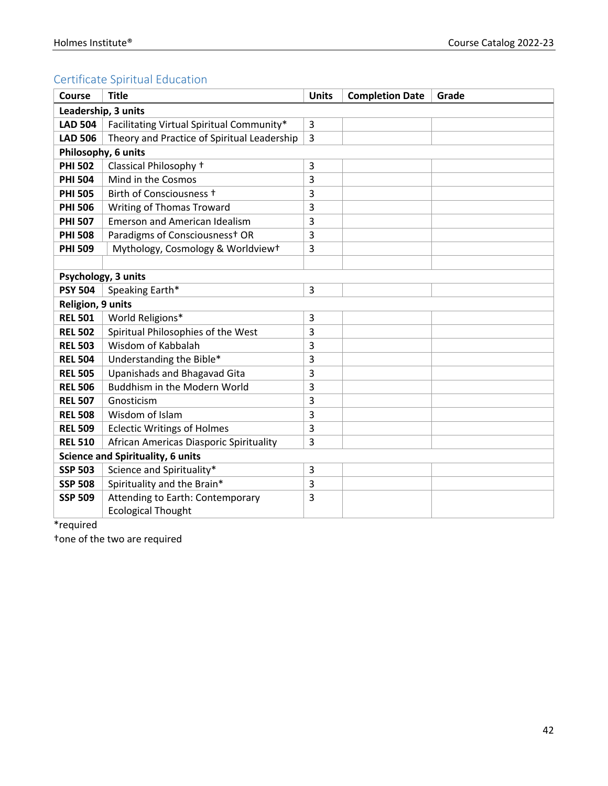## Certificate Spiritual Education

| <b>Course</b>                            | <b>Title</b>                                | <b>Units</b>   | <b>Completion Date</b> | Grade |
|------------------------------------------|---------------------------------------------|----------------|------------------------|-------|
| Leadership, 3 units                      |                                             |                |                        |       |
| <b>LAD 504</b>                           | Facilitating Virtual Spiritual Community*   | 3              |                        |       |
| <b>LAD 506</b>                           | Theory and Practice of Spiritual Leadership | $\overline{3}$ |                        |       |
| Philosophy, 6 units                      |                                             |                |                        |       |
| <b>PHI 502</b>                           | Classical Philosophy +                      | 3              |                        |       |
| <b>PHI 504</b>                           | Mind in the Cosmos                          | 3              |                        |       |
| <b>PHI 505</b>                           | Birth of Consciousness +                    | 3              |                        |       |
| <b>PHI 506</b>                           | <b>Writing of Thomas Troward</b>            | 3              |                        |       |
| <b>PHI 507</b>                           | <b>Emerson and American Idealism</b>        | 3              |                        |       |
| <b>PHI 508</b>                           | Paradigms of Consciousness <sup>+</sup> OR  | 3              |                        |       |
| <b>PHI 509</b>                           | Mythology, Cosmology & Worldviewt           | 3              |                        |       |
|                                          |                                             |                |                        |       |
| Psychology, 3 units                      |                                             |                |                        |       |
| <b>PSY 504</b>                           | Speaking Earth*                             | 3              |                        |       |
| Religion, 9 units                        |                                             |                |                        |       |
| <b>REL 501</b>                           | World Religions*                            | 3              |                        |       |
| <b>REL 502</b>                           | Spiritual Philosophies of the West          | 3              |                        |       |
| <b>REL 503</b>                           | Wisdom of Kabbalah                          | 3              |                        |       |
| <b>REL 504</b>                           | Understanding the Bible*                    | 3              |                        |       |
| <b>REL 505</b>                           | Upanishads and Bhagavad Gita                | 3              |                        |       |
| <b>REL 506</b>                           | Buddhism in the Modern World                | 3              |                        |       |
| <b>REL 507</b>                           | Gnosticism                                  | 3              |                        |       |
| <b>REL 508</b>                           | Wisdom of Islam                             | 3              |                        |       |
| <b>REL 509</b>                           | <b>Eclectic Writings of Holmes</b>          | 3              |                        |       |
| <b>REL 510</b>                           | African Americas Diasporic Spirituality     | 3              |                        |       |
| <b>Science and Spirituality, 6 units</b> |                                             |                |                        |       |
| <b>SSP 503</b>                           | Science and Spirituality*                   | 3              |                        |       |
| <b>SSP 508</b>                           | Spirituality and the Brain*                 | 3              |                        |       |
| <b>SSP 509</b>                           | Attending to Earth: Contemporary            | 3              |                        |       |
|                                          | <b>Ecological Thought</b>                   |                |                        |       |

\*required

†one of the two are required